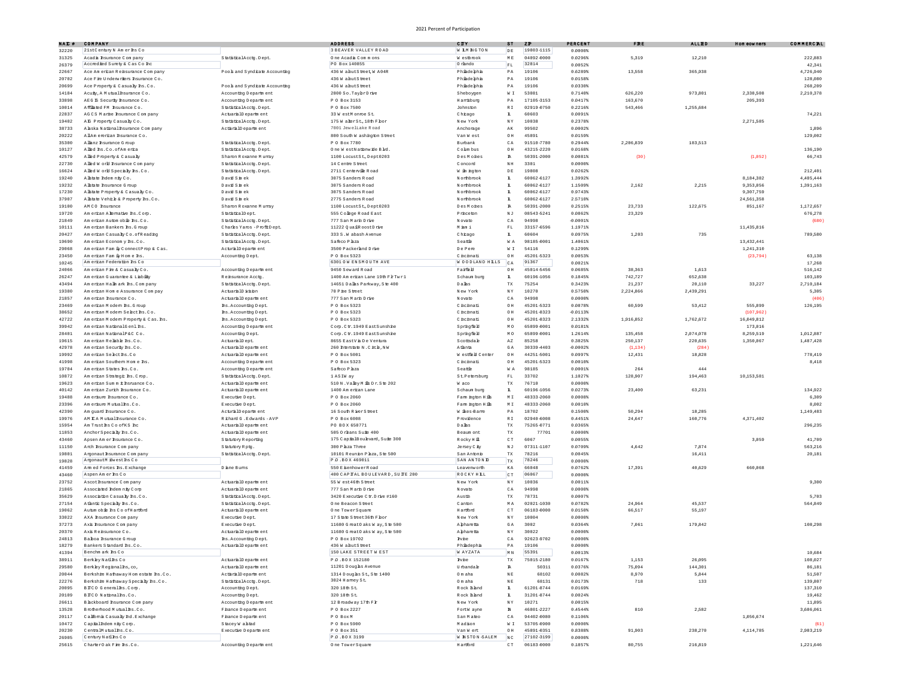| NAI #          | COMPANY                                                  |                                                 | <b>ADDRESS</b>                                | CUTT                     | 3T                                | $Z$ $\mathbf{F}$         | <b>PERCENT</b>       | $\mathbf{F} \mathbf{R} \mathbf{I}$ | <b>ALLED</b>    | Hom cowners             | COMMERCIL            |
|----------------|----------------------------------------------------------|-------------------------------------------------|-----------------------------------------------|--------------------------|-----------------------------------|--------------------------|----------------------|------------------------------------|-----------------|-------------------------|----------------------|
| 32220          | 21stCentury N Amerins Co                                 |                                                 | <b>3 BEAVER VALLEY ROAD</b>                   | W IMNGTON                | DE                                | 19803-1115               | $0.0000*$            |                                    |                 |                         |                      |
| 31325          | Acadia Insurance Company                                 | StatisticalAcctx.Dept.                          | One Acadia Commons                            | W estbrook               | $\mathbb M$ E                     | 04092-0000               | 0.0296%              | 5,319                              | 12,210          |                         | 222.883              |
| 26379          | Accredied Surety & Cas Co Inc.                           |                                                 | PO Box 140855                                 | O rhndo                  | $_{\rm FL}$                       | 32814                    | 0.0052%              |                                    |                 |                         | 42,341               |
| 22667          | Ace Am erican Reinsurance Com pany                       | Pools and Syndicate Accounting                  | 436 W ahutStreet, W A04R                      | Phiadephia               | ΡÀ                                | 19106                    | 0.6289%              | 13,558                             | 365, 368        |                         | 4,726,940            |
| 20702          | Ace Fire Underwriters Insurance Co.                      |                                                 | 436 W ahutStreet                              | Phiadephia               | $\mathbb{P}\,\mathbb{A}$          | 19106                    | 0.0158%              |                                    |                 |                         | 128,080              |
| 20699          | Ace Property & Casualty Ins. Co.                         | Pools and Syndicate Accounting                  | 436 W ahutStreet                              | Phiadephia               | $\mathbb{P}\,\mathbb{A}$          | 19106                    | 0.03301              |                                    |                 |                         | 268,209              |
| 14184          | Acuiv.A Mutual haurance Co.                              | Accounting Department                           | 2800 So. TaybrDrive                           | Sheboygen                | W I                               | 53081                    | 0.7140%              | 626,220                            | 973,801         | 2.338.508               | 2,210,378            |
| 33898          | AEG E Security Insurance Co.                             | Accounting Department                           | P 0 Box 3153                                  | Hamsburg                 | PА                                | 17105-3153               | 0.0417%              | 163,670                            |                 | 205.393                 |                      |
| 10014          | Affliated FM Insurance Co.                               | StatisticalAcctg.Dept.                          | P 0 Box 7500                                  | Johnston                 | $\mathbb R$ I                     | 02919-0750               | 0.2216%              | 543,466                            | 1,255,684       |                         |                      |
| 22837          | AGCS Marine Insurance Company                            | ActuarialD epartment                            | 33 W estM onne St.                            | Chrago                   | I.                                | 60603                    | 0.0091%              |                                    |                 |                         | 74.221               |
| 19402          | AE Property Casualy Co.                                  | StatisticalAcctg.Dept.                          | 175 W alerSt., 18th Fbor                      | New York                 | N Y                               | 10038                    | 0.23781              |                                    |                 | 2,271,585               |                      |
| 38733          | A aska National Insurance Company                        | ActaralDepartment                               | 7001 JewelLake Road                           | Anchorage                | AK                                | 99502                    | 0.00021              |                                    |                 |                         | 1,896                |
| 20222          | AllAm ererican Insurance Co.                             |                                                 | 800 South W ashington Street                  | Van West                 | OH                                | 45891                    | 0.0159%              |                                    |                 |                         | 129,002              |
| 35300          | A lianz haurance G roup                                  | StatisticalAcctq.Dept.                          | P 0 Box 7780                                  | Burbank                  | C <sub>A</sub>                    | 91510-7780               | 0.2944               | 2 206 839                          | 183,513         |                         |                      |
| 10127          | Alled hs.Co.ofAmerica                                    | StatisticalAcctq.Dept.                          | One WestNationwide Bld                        | Colm bus                 | OH                                | 43215-2220               | 0.0168%              |                                    |                 |                         | 136,190              |
| 42579          | A lied Property & Casualty                               | Sharon Roxanne Munay                            | 1100 LocustSt., Dept0203                      | Des Mohes                | R.                                | 50391-2000               | 0.0081%              | (30)                               |                 | (1,052)                 | 66,743               |
| 22730          | Alled W orld Insurance Company                           | StatisticalAcctq.Dept.                          | 14 Centre Street                              | Concord                  | $\mathbb N$ H                     | 3301<br>19808            | $0.0000*$<br>0.02625 |                                    |                 |                         |                      |
| 16624          | Alled W orld Specially Ins.Co.<br>Alstate Indem nity Co. | StatisticalAcctg.Dept.<br>David S in ek         | 2711 Centerville Road<br>3075 Sanders Road    | W in ngton<br>Northbrook | $\mathbb D$ E<br>$\mathbf{L}$     | 60062-6127               | 1.3992%              |                                    |                 | 8.184.382               | 212,401<br>4,405,444 |
| 19240<br>19232 | Allstate Insurance G roug                                | David S in ek                                   | 3075 Sanders Road                             | Northbrook               | $\mathbf{L}$                      | 60062-6127               | 1,1509%              | 2 162                              | 2,215           | 9.353.056               | 1,391,163            |
| 17230          | A listate Property & Casualty Co.                        | David Sin ek                                    | 3075 Sanders Road                             | Northbrook               | Ŧ.                                | 60062-6127               | 0.9743%              |                                    |                 | 9,307,759               |                      |
|                |                                                          |                                                 |                                               |                          | I.                                |                          |                      |                                    |                 |                         |                      |
| 37907<br>19100 | Alstate Vehicle & Property Rs.Co.<br>AMCO Insurance      | David S in ek<br>Sharon Roxanne Munay           | 2775 Sanders Road<br>1100 LocustSt., Dept0203 | Northbrook<br>Des Mohes  | м                                 | 60062-6127<br>50391-2000 | 2.5710%<br>0.2515%   | 23,733                             | 122,675         | 24, 561, 358<br>851,167 | 1,172,657            |
| 19720          | Am erican A lemative Ins. Corp.                          | StatisticalDept.                                | 555 College Road East                         | Princeton                | NJ                                | 08543-5241               | 0.0862%              | 23,329                             |                 |                         | 676,278              |
| 21849          | Am erican Autom obie Ins.Co                              | StatisticalAcctx.Dept.                          | 777 San Marh Drive                            | Novato                   | CA                                | 94998                    | $-0.0001$            |                                    |                 |                         | (680)                |
| 10111          | Am erican Bankers Ins. Group                             | Charles Yaros - ProfitDept.                     | 11222 Q uailR oostDrive                       | M ism i                  | FL                                | 33157-6596               | 1.1971%              |                                    |                 | 11 435 816              |                      |
| 20427          | Am erkan Casualy Co. of Reading                          |                                                 | 333 S.W abash Avenue                          | Chrago                   | L.                                | 60604                    | 0.0975%              | 1,203                              | 735             |                         | 789,580              |
| 19690          | Am erican Economy Bs.Co.                                 | StatisticalAcctg.Dept.<br>StatisticalAcctq.Dept | Safeco Phza                                   | Seattle                  | $\mathbbmss{M}$ A                 | 98185-0001               | 1.4061%              |                                    |                 | 13,432,441              |                      |
| 29068          | Am erican Fam ily Connect Prop & Cas.                    | ActuralD epartment                              | 3500 Packerland Drive                         | De Pere                  | $\mathbbmss{W}$ . $\mathbbmss{E}$ | 54116                    | 0.1299%              |                                    |                 | 1,241,310               |                      |
| 23450          | Am erican Fam ily Hom e Ins.                             | Accounting Dept.                                | P 0 Box 5323                                  | C nchnati                | O H                               | 45201-5323               | 0.00531              |                                    |                 | (23, 794)               | 63.138               |
| 10245          | Am erican Federation Ins Co                              |                                                 | 6301 OW ENSMOUTH AVE                          | W OODLAND HILLS          | CA                                | 91367                    | 0.0021%              |                                    |                 |                         | 17,268               |
| 24066          | American Pite & Casua by Co.                             | Accounting Department                           | 9450 Seward Road                              | Faifel                   | OH                                | 45014-5456               | 0.06851              | 38,363                             | 1.613           |                         | 516.142              |
| 26247          | Am erican Guarantee & Liability                          | Rehsumnce Accts                                 | 1400 Am erkan Lane 19th FlrTwr1               | S chaum burg             | Ŧ.                                | 60196-1056               | 0.1845%              | 742,727                            | 652,638         |                         | 103,189              |
| 43494          | Am erkan Halm ark Ins. Com pany                          | StatisticalAcctg.Dept.                          | 14651 Dalas Parkway, Ste 400                  | Dalhs                    | TX                                | 75254                    | 0.3423%              | 21,237                             | 20,110          | 33,227                  | 2,710,184            |
| 19380          | Am erican Hom e Assurance Com pay                        | ActuarialD ivision                              | 70 P he Street                                | New York                 | $\mathbb N$ Y                     | 10270                    | 0.5750%              | 2,224,866                          | 2 4 3 9 , 2 9 1 |                         | 5,305                |
| 21857          | Am erican Insurance Co.                                  | ActuarialD epartment                            | 777 San Marin Drive                           | Novato                   | $\mathbb C$ A                     | 94998                    | 0.0000               |                                    |                 |                         | (406)                |
| 23469          | Am erican Modern Ins. G roup                             | Ins. Accounting Dept.                           | P 0 Box 5323                                  | Chchnati                 | $\circ$ H                         | 45201-5323               | 0.0878%              | 60,599                             | 53,412          | 555,899                 | 126,195              |
| 38652          | American Modern Select Ins. Co.                          | hs. Accounting Dept.                            | P 0 Box 5323                                  | Chchnati                 | OH                                | 45201-8323               | $-0.01131$           |                                    |                 | (107.962)               |                      |
| 42722          | Am erican Modern Property & Cas. Ins.                    | Ins. Accounting Dept.                           | P 0 Box 5323                                  | Chchnati                 | OH                                | 45201-8323               | 2.1332%              | 1,916,852                          | 1,762,672       | 16,049,812              |                      |
| 39942          | Am erran NathnalGenl Bs                                  | Accounting Department                           | Com. Ctr. 1949 EastSunshine                   | Springfield              | MO.                               | 65899-0001               | 0.0181%              |                                    |                 | 173,016                 |                      |
| 28401          | Am erican NationalP&C Co                                 | Accounting Dept                                 | Com.Ctr.1949 EastSunshine                     | Springfield              | M O                               | 65899-0001               | 1.2614%              | 135,458                            | 2,074,078       | 8,259,519               | 1,012,887            |
| 19615          | Am erban Relable hs.Co.                                  | ActuarialDept.                                  | 8655 EastV à De Ventura                       | Scottsdale               | $\mathbb{A}\, \mathbb{Z}$         | 85258                    | 0.38251              | 250,137                            | 220,635         | 1,350,067               | 1,487,428            |
| 42978          | Am erican Security Bs.Co.                                | ActuarialD epartment                            | 260 Interstate N.Cicle, NW                    | Atlanta                  | $\mathbb{G}$ A                    | 30339-4403               | $-0.0002$            | (1,134)                            | (284)           |                         |                      |
| 19992          | American Select hs Co.                                   | ActuarialD epartment                            | P 0 Box 5001                                  | Westfield Center         | OH                                | 44251-5001               | 0.0997%              | 12 4 3 1                           | 18,828          |                         | 778,419              |
| 41998          | Am erican Southern Home hs                               | Accounting Department                           | P 0 Box 5323                                  | Chchnati                 | OH                                | 45201-5323               | 0.0010%              |                                    |                 |                         | 8.418                |
| 19704          | Am erkan States Ins.Co                                   | Accounting Department                           | Safeco Phza                                   | Seattle                  | WA                                | 98185                    | 0.0001               | 264                                | 444             |                         |                      |
| 10872          | Am erkan Strategic hs. Crop                              | StatisticalAcctg.Dept.                          | 1 ASIW ay                                     | St. Petersburg           | $\mathbb{F} \, \mathbb{L}$        | 33702                    | 1.1027%              | 128,907                            | 194,463         | 10,153,581              |                      |
| 19623          | Am erican Summ it Insmance Co.                           | ActuarialD epartment                            | 510 N.Valley Mills Dr.Ste 202                 | W aco                    | TX                                | 76710                    | $0.0000*$            |                                    |                 |                         |                      |
| 40142          | Am erican Zurich Insurance Co.                           | ActuarialD epartment                            | 1400 Am erican Lane                           | S chaum burg             | L.                                | 60196-1056               | 0.0273%              | 23,400                             | 63,231          |                         | 134,922              |
| 19488          | Am erisure haurance Co.                                  | Executive Dept.                                 | P 0 Box 2060                                  | Fam noton Hills          | M I                               | 48333-2060               | 0.0008%              |                                    |                 |                         | 6,309                |
| 23396          | Am ersure Mutuallhs.Co                                   | Executive Dept.                                 | P 0 Box 2060                                  | Fam hqton Hills          | MI                                | 48333-2060               | 0.0010%              |                                    |                 |                         | 8,002                |
| 42390          | Am quard Insurance Co.                                   | ActuralD epartment                              | 16 South R iverStreet                         | W ikes-Barre             | PА                                | 18702                    | 0.1500%              | 50,294                             | 18,285          |                         | 1,149,483            |
| 19976          | AM CA Mutual Insurance Co                                | Richard G.Edwards - AVP                         | P 0 Box 6008                                  | Providence               | $\mathbb R$ I                     | 02940-6008               | 0.4451%              | 24,647                             | 160,776         | 4,371,402               |                      |
| 15954          | Am Trust hs CoofKS hc                                    | ActuarialD epartment                            | PO BOX 650771                                 | Dalhs                    | $_{\rm TX}$                       | 75265-0771               | 0.0365%              |                                    |                 |                         | 296,235              |
| 11853          | AnchorSpecialy hs.Co.                                    | ActuarialD epartment                            | 505 O reans Suite 400                         | Beaum ont                | $_{\rm TX}$                       | 77701                    | 0.0000               |                                    |                 |                         |                      |
| 43460          | Apsen Am er hsumnce Co.                                  | Statutory Reporting                             | 175 CapitalBoulevard, Suite 300               | R ocky H ill             | CT                                | 6067                     | 0.0055%              |                                    |                 | 3.059                   | 41,709               |
| 11150          | Arch Insurance Company                                   | Statutory Rptg.                                 | 300 Phza Three                                | Jersey C ity             | N <sub>J</sub>                    | 07311-1107               | 0.0709%              | 4,642                              | 7,874           |                         | 563,216              |
| 19801          | Argonaut hsurance Com pany                               | StatisticalAcctg.Dept.                          | $10101$ R eunion P hza, S te $500\,$          | San Antonio              | $_{\rm TX}$                       | 78216                    | 0.0045%              |                                    | 16,411          |                         | 20,181               |
| 19828          | AmonautM dwest hs Co                                     |                                                 | PO .BOX 469011                                | SAN ANTOND               | TX                                | 78246                    | $0.0000*$            |                                    |                 |                         |                      |
| 41459          | Am ed Forces Ins. Exchange                               | D iane Bums                                     | 550 E senhowerRoad                            | Leavenworth              | KΑ                                | 66048                    | 0.0762%              | 17,391                             | 40,629          | 660,068                 |                      |
| 43460          | Aspen Am er hs Co                                        |                                                 | 400 CAP TAL BOULEVARD, SUTE 200               | ROCKY HILL               | CT                                | 06067                    | 0.0000               |                                    |                 |                         |                      |
| 23752          | Ascothsurance Company                                    | ActuarialD epartment                            | 55 W est 46th Street                          | New York                 | $\mathbb N$ Y                     | 10036                    | 0.00118              |                                    |                 |                         | 9.300                |
| 21865          | Associated Indem nity Com-                               | ActuarialD epartment                            | 777 San Marh Drive                            | Novato                   | CA                                | 94998                    | $0.0000*$            |                                    |                 |                         |                      |
| 35629          | Association Casualy Ins.Co.                              | StatisticalAcctq.Dept.                          | 3420 Executive C tr. D rive #160              | Austin                   | $_{\rm TX}$                       | 78731                    | 0.0007%              |                                    |                 |                         | 5,703                |
| 27154          | Atlantic Specialty Ins.Co                                | StatisticalAcctx.Dept.                          | One Beacon Street                             | Canton                   | $\tt M$ $\tt A$                   | 02021-1030               | 0.0782%              | 24,964                             | 45,537          |                         | 564,849              |
| 19062          | Autum obie hs Co of Hartford                             | ActuarialD epartment                            | One TowerSquare                               | Hartford                 | $\hbox{C}$ T                      | 06183-0000               | 0.0150%              | 66,517                             | 55,197          |                         |                      |
| 33022          | AXA Insurance Com pany                                   | Executive Dept.                                 | 17 State Street 36th Fbor                     | New York                 | N Y                               | 10004                    | 0.00001              |                                    |                 |                         |                      |
| 37273          | Axis haurance Com pany                                   | Executive Dept.                                 | 11680 G reatO aks W ay, S te 500              | Apharetta                | $\mathbb{G}$ A                    | 3002                     | 0.03641              | 7.061                              | 179,842         |                         | 108,298              |
| 20370          | Axis Reinsumnce Co.                                      | ActuarialD epartment                            | 11680 G reat O aks W av. S te 500             | Abharetta                | NY                                | 30022                    | 0.00001              |                                    |                 |                         |                      |
| 24813          | Baboa hsumnce G roup                                     | hs. Accounting Dept.                            | P 0 Box 19702                                 | Ivhe                     | CA                                | 92623-9702               | 0.0000               |                                    |                 |                         |                      |
| 18279          | Bankers Standard Bs.Co.                                  | ActuarialD epartment                            | 436 W ahutStreet                              | Phiadephi                | PА                                | 19106                    | $0.0000*$            |                                    |                 |                         |                      |
| 41394          | Benchm ark Ins Co                                        |                                                 | 150 LAKE STREET WEST                          | W AYZATA                 | $\mathbb M$ $\mathbb N$           | 55391                    | $0.0013*$            |                                    |                 |                         | 10,684               |
| 38911          | Berkey Natlins Co                                        | ActuarialD epartment                            | PO .BOX 152180                                | Iwhe                     | $_{\rm TX}$                       | 75015-2180               | 0.0167%              | 1 1 5 3                            | 26,095          |                         | 108,027              |
| 29580          | Berkley Regionalins, co,                                 | ActuarialD epartment                            | 11201 Douglas Avenue                          | Umbandale                | R.                                | 50311                    | 0.0376%              | 75,094                             | 144,301         |                         | 86,181               |
| 20044          | Berkshire Hathaway Hom estate Ins.Co.                    | ActaralDepartment                               | 1314 Douglas St., Ste 1400                    | Om aha                   | $N\to$                            | 68102                    | $0.0082$ \$          | 8,970                              | 5,844           |                         | 51,507               |
| 22276          | Berkshire Hathaway Specialy Ins.Co.                      | StatisticalAcctq.Dept.                          | 3024 Hamey St.                                | Om aha                   | NE                                | 68131                    | 0.0173%              | 718                                | 133             |                         | 139,807              |
| 20095          | BICO Generalls.Com                                       | Accounting Dept.                                | 320 18th St.                                  | Rock Bland               | L.                                | 61201-8744               | 0.0169%              |                                    |                 |                         | 137,310              |
| 20109          | BICO Nationalins.Co.                                     | Accounting Dept.                                | 320 18th St.                                  | Rock Bland               | Ŧ.                                | 31201-8744               | 0.0024%              |                                    |                 |                         | 19,462               |
| 26611          | Blackboard Insurance Company                             | Accounting Department                           | 12 Broadway 17th Flr                          | New York                 | $\mathbb N$ Y                     | 10271                    | 0.0015%              |                                    |                 |                         | 11,895               |
| 13528          | Brotherhood Mutual hs.Co.                                | F hance D epartm ent                            | P 0 Box 2227                                  | FortW ayne               | $\mathbbm{N}$                     | 46801-2227               | 0.4544%              | 810                                | 2,582           |                         | 3,686,061            |
| 20117          | California Casualty Ind. Exchange                        | F hance D epartm ent                            | PO BoxM                                       | San Mateo                | CA                                | 94402-0080               | 0.1106%              |                                    |                 | 1,056,674               |                      |
| 10472          | Capialindem niy Corp.                                    | StaceyW abtad                                   | P 0 Box 5900                                  | Madison                  | W I                               | 53705-0900               | 0.0000               |                                    |                 |                         | (61)                 |
| 20230          | CentalMutuallas.Co.                                      | Executive Department                            | P 0 Box 351                                   | Van W ert                | OH                                | 45891-0351               | 0.8388%              | 91,903                             | 238,270         | 4,114,785               | 2,983,219            |
| 26905          | Century Natlins Co.                                      |                                                 | PO.BOX 3199                                   | W NSTON-SALEM            | $N \, C$                          | 27102-3199               | $0.0000$ \$          |                                    |                 |                         |                      |
| 25615          | CharterOak Fire hs.Co.                                   | Accounting Department                           | One TowerSquare                               | Hartford                 | C T                               | 06183-0000               | 0.1857%              | 80,755                             | 216,819         |                         | 1,221,646            |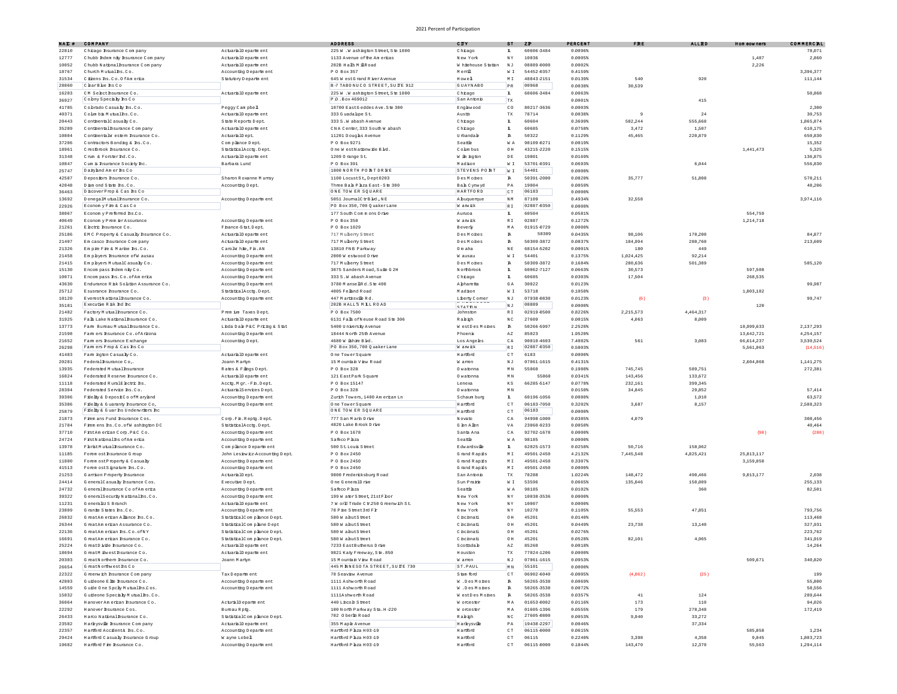| NAI # | <b>COMPANY</b>                         |                                | <b>ADDRESS</b>                         | CITY                | 3T                                | ZD         | <b>PERCENT</b> | <b>FRI</b> | <b>ALLED</b> | Hom cowners | COMMERCIL |
|-------|----------------------------------------|--------------------------------|----------------------------------------|---------------------|-----------------------------------|------------|----------------|------------|--------------|-------------|-----------|
| 22810 | Chicago Insurance Company              | ActuarialDepartment            | 225 W. Washington Street, Ste 1800     | Chrago              | L.                                | 60606-3484 | 0.0096%        |            |              |             | 78.071    |
| 12777 | Chubb Indem nity Insurance Company     | ActuarialD epartment           | 1133 Avenue of the Americas            | New York            | N Y                               | 10036      | 0.0005%        |            |              | 1,487       | 2,860     |
| 10052 | Chubb National Insurance Company       | ActuarialD epartment           | 202B Halls MillRoad                    | W hitehouse Station | $\mathbb N$ J                     | 08889-0000 | 0.0002%        |            |              | 2,226       |           |
| 18767 | Church Mutuallhs.Co.                   | Accounting Department          | P 0 Box 357                            | Memil               | $\mathbbmss{W}$ . $\mathbbmss{V}$ | 54452-0357 | 0.4159%        |            |              |             | 3,396,377 |
| 31534 | Citizens Ins. Co. O fAm erica          | Statutory Department           | 645 W estG rand R iver Avenue          | Howel               | $\mathbb M$ I                     | 48843-2151 | 0.0139%        | 540        | 920          |             | 111,144   |
| 28860 | ClearBlue hs Co                        |                                | B-7 TABONUCO STREET, SUITE 912         | <b>GUAYNABO</b>     | PR                                | 00968      | 0.0038%        | 30,539     |              |             |           |
| 16203 | CM Select hsumance Co.                 | ActuarialD epartment           | 225 W. Washington Street Ste 1800      | Chrago              | $\mathbbm{L}$                     | 60606-3484 | 0.0063%        |            |              |             | 50,868    |
|       | Cobny Specially Is Co                  |                                | P O .Box 469012                        | San Antonio         |                                   |            |                |            |              |             |           |
| 36927 |                                        |                                |                                        |                     | $_{\rm TX}$                       |            | 0.0001%        |            | 415          |             |           |
| 41785 | Cobrado Casualy hs.Co                  | Peggy Cam pbell                | 10700 EastGeddes Ave. Ste 300          | Englewood           | $\mathbb{C}$ O                    | 80217-3636 | 0.0003         |            |              |             | 2,300     |
| 40371 | Colm bis Mutual hs.Co.                 | ActuarialD epartment           | 333 Guadalipe St.                      | Austin              | $_{\rm TX}$                       | 78714      | 0.0038%        |            | $2\sqrt{4}$  |             | 30,753    |
| 20443 | ConthentalCasualyCo.                   | State Reports Dept.            | 333 S.W abash Avenue                   | Chrago              | $\mathbf{L}$                      | 60604      | 0.3699%        | 582,244    | 555,668      |             | 1,865,874 |
| 35289 | Conthental Insurance Com pany          | ActuarialD epartment           | CNA Center, 333 South W abash          | Chrago              | $\mathbbm{L}$                     | 60685      | 0.0758%        | 3 A 7 2    | 1,507        |             | 610,175   |
| 10804 | ConthentalW estem haurance Co.         | ActuarialDept.                 | 11201 Douglas Avenue                   | Urbandale           | $\mathbbm{R}$                     | 50322      | 0.1129%        | 45,465     | 220,879      |             | 650,830   |
| 37206 | Contactors Bonding & Ins.Co.           | Complance Dept.                | P 0 Box 9271                           | Seattle             | W A                               | 98109-0271 | 0.0019%        |            |              |             | 15,352    |
| 18961 | Crestbrook Insurance Co.               | StatisticalAcctq.Dept          | One WestNationwide Bld                 | Colm bus            | 0H                                | 43215-2220 | 0.1515%        |            |              | 1,441,473   | 5,325     |
| 31348 | Crum & Forster Ind.Co.                 | ActuarialD epartment           | 1209 O mange St.                       | W in ington         | $\mathbb D$ E                     | 19801      | 0.0169%        |            |              |             | 136,875   |
| 10847 | Cum is haurance Society Inc.           | Barbara Lund                   | P 0 Box 391                            | Madison             | $\mathbbmss{W}$ . $\mathbbmss{V}$ | 53701-0391 | 0.0693%        |            | 6,044        |             | 556,830   |
| 25747 | Daiyand Amerins Co                     |                                | 1800 NORTH PONT DR NE                  | STEVENS PONT        | W I                               | 54481      | $0.0000*$      |            |              |             |           |
| 42587 | Depositors haurance Co                 | Sharon Roxanne Munay           | 1100 Locust St., Dept 0203             | Des Mohes           | $\mathbbm{R}$                     | 50391-2000 | 0.0820%        | 35.777     | 51,808       |             | 578,211   |
| 42048 | Diamond State Rs.Co.                   | Accounting Dept.               | Three Bah Phza East-Ste 300            | Bah Cynwyd          | PA                                | 19004      | 0.0059%        |            |              |             | 48,206    |
|       | DiscoverProp & Cas hs Co               |                                | ONE TOWER SQUARE                       | HARTFORD            |                                   | 06183      |                |            |              |             |           |
| 36463 |                                        |                                |                                        |                     | CT                                |            | $0.0000*$      |            |              |             |           |
| 13692 | DonegalMutual hsumance Co              | Accounting Department          | 5051 JournalCtrBld., NE                | A buquerque         | $\mathbb N$ M                     | 87109      | 0.4934%        | 32,558     |              |             | 3,974,116 |
| 22926 | Economy Fire & Cas Co                  |                                | PO Box 350, 700 QuakerLane             | W any ick           | RI                                | 02887-0350 | $0.0000$ \$    |            |              |             |           |
| 38067 | Economy Preferred hs Co.               |                                | 177 South Commons Drive                | Aumoa               | $\mathbbm{L}$                     | 60504      | 0.0581%        |            |              | 554,759     |           |
| 40649 | Econom y Prem er Assurance             | Accounting Department          | P 0 Box 350                            | W any ick           | R I                               | 02887      | 0.1272%        |            |              | 1,214,718   |           |
| 21261 | E lectric Insurance Co.                | Fhance-Stat.Dept.              | P 0 Box 1029                           | Beverly             | MA                                | 01915-0729 | $0.0000*$      |            |              |             |           |
| 25186 | EMC Property & Casualy hsurance Co.    | ActuarialD epartment           | 717 Muberry Street                     | Des Mohes           | $\mathbbm{R}$                     | 50309      | 0.0435%        | 98 106     | 170,200      |             | 84.87     |
| 21407 | Em casco hsumnce Company               | ActuarialD epartment           | 717 Muberry Street                     | Des Mohes           | $\mathbbm{R}$                     | 50309-3872 | 0.0837%        | 184,994    | 280,760      |             | 213,609   |
| 21326 | Empie Fire & Marine Rs.Co              | CamplW hite, Fin. AN           | 13810 FNB Parkway                      | Om aha              | $\mathbb N$ E                     | 68154-5202 | 0.0001%        | 180        | 449          |             |           |
|       |                                        |                                |                                        |                     |                                   |            | 0.1375%        |            |              |             |           |
| 21458 | Em pbyers hsurance of W ausau          | Accounting Department          | 2000 W estwood Drive                   | W ausau             | $\mathbbmss{W}$ . $\mathbbmss{W}$ | 54401      |                | 1,024,425  | 92,214       |             |           |
| 21415 | Em phyers MutualCasualy Co             | Accounting Department          | 717 Muberry Street                     | Des Mones           | $\mathbbm{R}$                     | 50309-3872 | 0.1684%        | 280,636    | 501,389      |             | 585,120   |
| 15130 | Encompass Indemnity Co.                | Accounting Department          | 3075 Sanders Road, Suite G 2H          | Northbrook          | $\mathbf{L}$                      | 60062-7127 | 0.0663%        | 30.573     |              | 597.508     |           |
| 10071 | Encompass hs.Co.ofAmerica              | Accounting Department          | 333 S.W abash Avenue                   | Chrago              | L.                                | 60685      | 0.0303%        | 17,504     |              | 268.535     |           |
| 43630 | Endurance R isk Solution Assurance Co. | Accounting Department          | 3780 M ansellRd.Ste 400                | Abharetta           | GA                                | 30022      | 0.0123%        |            |              |             | 99.987    |
| 25712 | Esusmnce Insurance Co.                 | StatisticalAcctq.Dept          | 4005 Felland Road                      | Madison             | $W~\ensuremath{\bot}$             | 53718      | 0.1050%        |            |              | 1,003,182   |           |
| 10120 | EverestNational hsurance Co.           | Accounting Department          | 447 Marthsville Rd.                    | Liberty Comer       | $\mathbb N$ J                     | 07938-0830 | 0.0123%        | (6)        | (3)          |             | 99.747    |
| 35181 | Executive R isk Ind Inc                |                                | 202B HALLS M LL ROAD                   |                     | $\mathbb N$ J                     | 08889      | $0.0000*$      |            |              | 120         |           |
| 21482 | Factory Mutual hsurance Co.            | Prem im Taxes Dept.            | P 0 Box 7500                           | erarnx<br>Johnston  | R I                               | 02919-0500 | 0.8226%        | 2,215,573  | 4,464,317    |             |           |
|       |                                        | ActuarialDepartment            |                                        |                     |                                   |            |                |            |              |             |           |
| 31925 | Falls Lake National Insurance Co.      |                                | 6131 Falls of Neuse Road Ste 306       | Rakiph              | NC                                | 27609      | 0.0015%        | 4,063      | 8,009        |             |           |
| 13773 | Fam Bureau Mutual haurance Co          | Linda Dale P&C Pricing & Stat  | 5400 University Avenue                 | WestDesMones        | $\mathbbm{R}$                     | 50266-5997 | 2.2520%        |            |              | 18,999,633  | 2.137.293 |
| 21598 | Farm ers hsurance Co. of Arizons       | Accounting Department          | 18444 North 25th Avenue                | Phoeni              | $\mathbb{A}\, \mathbb{Z}$         | 85023      | 1.9520%        |            |              | 13,642,721  | 4,254,157 |
| 21652 | Farm ers hsurance Exchange             | Accounting Dept.               | 4680 W ishire Bld                      | Los Angeles         | $\mathbb C$ A                     | 90010-4603 | 7.4082%        | 561        | 3,083        | 66,614,237  | 3,530,524 |
| 26298 | Famers Prop & Cas hs Co                |                                | PO Box 350, 700 Q uaker Lane           | W anwick            | $\mathbb R$ I                     | 02887-0350 | 0.5803%        |            |              | 5,561,063   | (14,516)  |
| 41483 | Fam hoton Casualy Co.                  | ActuarialD epartment           | One TowerSquare                        | Hartford            | CT                                | 6183       | $0.0000*$      |            |              |             |           |
| 20281 | Federal hsurance Co.                   | Joann Martyn                   | 15 Mountain View Road                  | W amen              | N <sub>J</sub>                    | 07061-1615 | 0.4131%        |            |              | 2,604,068   | 1,141,275 |
| 13935 | Federated Mutual Insurance             | Rates & Filings Dept.          | P 0 Box 328                            | Owatonna            | $\mathbb M$ $\mathbb N$           | 55060      | 0.1980%        | 745,745    | 589,751      |             | 272,381   |
| 16024 | Federated Reserve Insurance Co.        | ActuarialD epartment           | 121 EastPark Square                    | 0 w atonna          | $\mathbb M$ $\mathbb N$           | 55060      | 0.0341%        | 143,456    | 133,672      |             |           |
|       |                                        |                                |                                        |                     |                                   |            |                |            |              |             |           |
| 11118 | Federated RuralE lectric hs            | Acctg. Mgr. - Fh. Dept         | P 0 Box 15147                          | Lenexa              | $\mathbb{K} \: \mathbb{S}$        | 66285-5147 | 0.0778%        | 232,161    | 399,345      |             |           |
| 28304 | Federated Service Ins.Co.              | ActuarialServices Dept         | P 0 Box 328                            | 0 w atonna          | $\mathbb M$ $\mathbb N$           |            | 0.0150%        | 34,845     | 29,852       |             | 57.414    |
| 39306 | Fileliv & DepositCo ofMarvand          | Accounting Department          | Zurich Towers, 1400 Am erican Ln       | Schaum burg         | L.                                | 60196-1056 | $0.0080*$      |            | 1,010        |             | 63,572    |
| 35386 | Filelly & Guaranty Insurance Co,       | Accounting Department          | One TowerSquare                        | Hartford            | CT                                | 06183-7050 | 0.3202%        | 3.687      | 8,157        |             | 2,588,323 |
| 25879 | Filely & Guar hs Underwriters ho       |                                | ONE TOWER SQUARE                       | Hartford            | $\hbox{C}$ T                      | 06183      | $0.0000*$      |            |              |             |           |
| 21873 | Firem ans Fund Insurance Cos           | Com.Fh.Reptg.Dept              | 777 San Marin Drive                    | Novato              | $\mathbb C$ A                     | 94998-1000 | 0.0385%        | 4,079      |              |             | 308,456   |
| 21784 | Firem ens Ins. Co. of W ashington DC   | StatisticalAcctq.Dept.         | 4820 Lake Brook Drive                  | G len Allen         | $_{\rm VA}$                       | 23060-9233 | $0.0050*$      |            |              |             | 40,464    |
| 37710 | FistAm erkan Corp. P&C Co.             | Accounting Department          | P 0 Box 1678                           | Santa Ana           | $\mathbb C$ A                     | 92702-1678 | $0.0000*$      |            |              | (98)        | (288)     |
| 24724 | FistNationalhs of America              | Accounting Department          | Safeco Phza                            | Seattle             | WA                                | 98185      | $0.0000*$      |            |              |             |           |
| 13978 | F bristMutual haurance Co              |                                | 500 St. Louis Street                   | Edwardsville        | L.                                | 62025-1573 | 0.0258%        | 50.716     | 158,962      |             |           |
|       |                                        | Complance Department           |                                        |                     |                                   |            |                |            |              |             |           |
| 11185 | Forem ost hsurance G roup              | John Lesiewicz-Accounting Dept | P O Box 2450                           | Grand Rapids        | $\mathbb M$ I                     | 49501-2450 | 4.2132%        | 7,445,548  | 4,825,421    | 25,813,117  |           |
| 11800 | Forem ostProperty & Casualty           | Accounting Department          | P 0 Box 2450                           | Grand Rapids        | $\mathbb M$ I                     | 49501-2450 | 0.3307%        |            |              | 3,159,050   |           |
| 41513 | Forem ostSignature hs.Co               | Accounting Department          | P 0 Box 2450                           | G rand R apids      | M I                               | 49501-2450 | $0.0000*$      |            |              |             |           |
| 21253 | G arrison P roperty Insurance          | ActuarialDept.                 | 9800 Fredericksburg Road               | San Antonio         | $_{\rm TX}$                       | 78288      | 1.0224%        | 148,472    | 490,466      | 9,013,177   | 2.038     |
| 24414 | GeneralCasualy Insurance Cos.          | Executive Dept.                | One GeneralDrive                       | Sun Prairie         | $W~\ensuremath{\bot}$             | 53596      | 0.0665%        | 135,046    | 150,009      |             | 255,133   |
| 24732 | General Insurance Co of America        | Accounting Department          | Safero Phza                            | Seattle             | WA.                               | 98185      | $0.0102$ \$    |            | 360          |             | 82,501    |
| 39322 | GeneralSecurity National hs.Co         | Accounting Department          | 199 W aterStreet. 21stFbor             | New York            | N Y                               | 10038-3536 | $0.0000*$      |            |              |             |           |
| 11231 | Generalitis Branch                     | ActuarialD epartment           | 7 W orld Trade C tr 250 G reenwich St. | New York            | $_{\mathrm{N}}$ $_{\mathrm{Y}}$   | 10007      | $0.0000*$      |            |              |             |           |
| 23809 | Grante States hs.Co.                   | Accounting Department          | 70 Pine Street3rd Fh                   | New York            | $\mathbb N$ Y                     | 10270      | 0.1105%        | 55,553     | 47,851       |             | 793,756   |
|       | GreatAm erican Allance hs.Co           |                                | 580 W abutS treet                      | C hohnati           |                                   | 45201      | 0.0140%        |            |              |             |           |
| 26832 |                                        | StatisticalCompliance Dept.    |                                        |                     | $\hbox{O\,\,H}$                   |            |                |            |              |             | 113,468   |
| 26344 | GreatAm erican Assurance Co.           | StatisticalComplianeDept       | 580 W ahutStreet                       | C hohnati           | $\hbox{O\,\,H}$                   | 45201      | 0.0449%        | 23,738     | 13,140       |             | 327,931   |
| 22136 | GreatAm erran Ins.Co.ofN)              | StatisticalComplance Dept      | 580 W ahutStreet                       | C hohnati           | OH                                | 45201      | 0.0276%        |            |              |             | 223,762   |
| 16691 | GreatAm erican Insurance Co.           | StatisticalComplance Dept.     | 580 W ahutStreet                       | Chchnati            | OH                                | 45201      | 0.0528%        | 82 101     | 4,965        |             | 341,919   |
| 25224 | GreatDivide hsurance Co.               | ActuarialD epartment           | 7233 EastButhenus Drive                | Scottsdale          | $\mathbb{A}\, \mathbb{Z}$         | 85260      | 0.0018%        |            |              |             | 14,264    |
| 18694 | GreatM Ewest hsurance Co.              | ActuarialD epartm ent          | 9821 Katy Freeway, Ste. 850            | H ouston            | TX                                | 77024-1206 | $0.0000$ \$    |            |              |             |           |
| 20303 | GreatNorthern Insurance Co.            | Joann Martyn                   | 15 Mountain View Road                  | W amen              | NJ                                | 07061-1615 | 0.0953%        |            |              | 509,671     | 340,820   |
| 26654 | GreatNorthwesthsCo                     |                                | 445 M INNESOTA STREET, SUITE 730       | ST.PAUL             | MN                                | 55101      | $0.0000*$      |            |              |             |           |
| 22322 | Greenwich Insurance Company            | Tax Department                 | 70 Seaview Avenue                      | Stam ford           | CT                                | 06902-6040 | $-0.0005$      | (4.062)    | (25)         |             | 199       |
| 42803 |                                        |                                | 1111 Ashworth Road                     |                     |                                   | 50265-3538 | 0.0069%        |            |              |             | 55,800    |
|       | Guideone Elie haurance Co.             | Accounting Department          |                                        | W.DesMones          | $\mathbbm{R}$                     |            |                |            |              |             |           |
| 14559 | Guide One Spcky Mutual hs.Cos.         | Accounting Department          | 1111 Ashworth Road                     | W.DesMones          | $\mathbbm{R}$                     | 50265-3538 | 0.0072%        |            |              |             | 58,556    |
| 15032 | Guideone Specialy Mutual hs.Co.        |                                | 1111Ashworth Road                      | WestDesMones        | $\mathbbm{R}$                     | 50265-3538 | 0.0357%        | 41         | 124          |             | 289,644   |
| 36064 | HanoverAm erican Insurance Co.         | ActuralD epartment             | 440 Lincoln Street                     | W orcester          | MA                                | 01653-0002 | 0.0116%        | 173        | 110          |             | 94,026    |
| 22292 | Hanover hsurance Cos.                  | Bureau Rptg.                   | 100 North Parkway Sta. H-220           | W orcester          | $\tt M$ $\tt A$                   | 01605-1396 | 0.0555%        | 179        | 278,348      |             | 172,419   |
| 26433 | Harco National haurance Co.            | StatisticalComplance Dept.     | 702 O berlin Road                      | Rakizh              | NC                                | 27605-0800 | 0.0053%        | 9,940      | 33,272       |             |           |
| 23582 | Harbysville Insurance Company          | ActuarialD epartment           | 355 Maple Avenue                       | Harleysville        | PA                                | 19438-2297 | 0.0046%        |            | 37,334       |             |           |
|       |                                        |                                |                                        |                     |                                   |            |                |            |              |             |           |
| 22357 | Hartford Accident& Ins.Co              | Accounting Department          | Hartford Phza H03-19                   | Hartford            | $\subset$ T                       | 06115-0000 | 0.0615%        |            |              | 585,858     | 1,234     |
| 29424 | Hartford Casualty Insurance G roup     | W ayne Lobell                  | Hartford P hza H 03-19                 | Hartford            | $\hbox{C}$ T                      | 06115      | 0.2240%        | 3,398      | 4,358        | 9,045       | 1,803,723 |
| 19682 | Hartford Fire Insurance Co.            | Accounting Department          | Hartford P hza H 03-19                 | Hartford            | CT                                | 06115-0000 | 0.1844%        | 143,470    | 12,370       | 55,563      | 1,294,114 |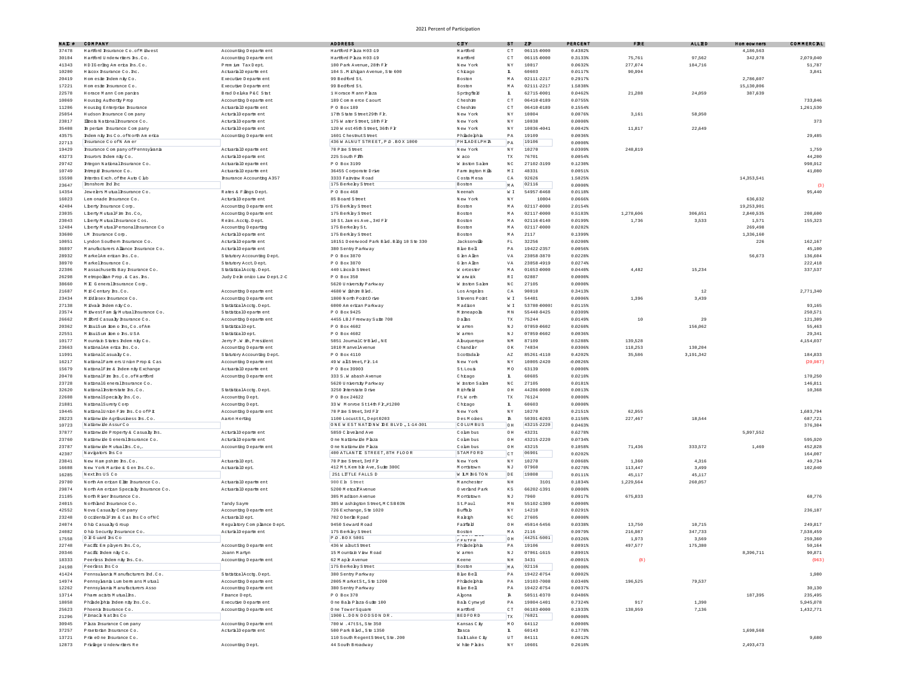| NAI # | COMPANY                                            |                               | <b>ADDRESS</b>                                                  | CITY                                         | 8T                                | Z <sub>D</sub> | PERCENT     | $\mathbf{F} \mathbf{R} \mathbf{I}$ | <b>ALLED</b> | Hom cowners | COMMERCIL |
|-------|----------------------------------------------------|-------------------------------|-----------------------------------------------------------------|----------------------------------------------|-----------------------------------|----------------|-------------|------------------------------------|--------------|-------------|-----------|
| 37478 | Hartford Insurance Co. of M ilwest                 | Accounting Department         | Hartford Plaza H03-19                                           | Hartford                                     | $\subset$ $\cal T$                | 06115-0000     | 0.4382%     |                                    |              | 4,186,563   |           |
| 30104 | Hartford Underwriters Ins. Co.                     | Accounting Department         | Hartford Phza H03-19                                            | Hartford                                     | $\subset$ $\cal{T}$               | 06115-0000     | 0.3133%     | 75,761                             | 97.562       | 342.978     | 2.079.040 |
| 41343 | HDIGerlho America hs.Co                            | Prem im Tax Dept.             | 100 Park Avenue, 28th Fl                                        | New York                                     | $_{\mathrm{N}}$ $_{\mathrm{Y}}$   | 10017          | 0.0632%     | 277,074                            | 184,716      |             | 51,787    |
| 10200 | H BCOX haurance Co. hc                             | ActuarialD epartment          | 104 S.M ichigan Avenue, Ste 600                                 | Chrago                                       | L.                                | 60603          | 0.0117%     | 90,994                             |              |             | 3.841     |
| 20419 | Homesie Indemnity Co.                              | Executive Department          | 99 Bedford St.                                                  | Boston                                       | $\tt{M}$ A                        | 02111-2217     | 0.2917%     |                                    |              | 2,786,607   |           |
| 17221 | Hom este Insurance Co.                             | Executive Department          | 99 Bedford St.                                                  | Boston                                       | $\tt{M}$ A                        | 02111-2217     | 1.5838%     |                                    |              | 15,130,006  |           |
| 22578 | Horace Mann Companies                              | Brad Delka P&C Stat           | 1 Horace M ann P hza                                            | Springfield                                  | I.                                | 62715-0001     | 0.0462%     | 21,288                             | 24,059       | 387,639     |           |
| 10069 | Housing Authority Prop                             | Accounting Department         | 189 Commerce Caourt                                             | Cheshie                                      | CT                                | 06410-0189     | 0.0755%     |                                    |              |             | 733,846   |
|       | Housing Enterprise Insurance                       | ActuarialD epartment          | P 0 Box 189                                                     | Cheshie                                      |                                   | 06410-0189     | 0.1554%     |                                    |              |             | 1,261,530 |
| 11206 |                                                    |                               |                                                                 |                                              | $\hbox{C}$ T                      | 10004          | 0.0076%     |                                    |              |             |           |
| 25054 | Hudson hsumnce Company                             | ActuralD epartment            | 17th State Street 29th Flr                                      | New York                                     | $\mathbb{N}$ Y                    |                |             | 3,161                              | 58,950       |             |           |
| 23817 | Ilho is National Insurance Co.                     | ActuralD epartment            | 175 W aterSteet, 18th Flr                                       | New York                                     | $\mathbbm{N}$ Y                   | 10038          | 0.00008     |                                    |              |             | 373       |
| 35408 | In perim Insurance Company                         | ActuralD epartment            | 120 W est 45th S treet, 36th Flr                                | New York                                     | $\mathbb{N}$ Y                    | 10036-4041     | 0.0042      | 11,817                             | 22,649       |             |           |
| 43575 | Indem nity Ins Co. of North America                | Accounting Department         | 1601 ChestnutStreet                                             | Phiadephia                                   | $\mathbb{P}\,\mathbb{A}$          | 19109          | 0.0036%     |                                    |              |             | 29,485    |
| 22713 | Insurance Co ofN Am er                             |                               | 436 W ALNUT STREET, P.O.BOX 1000                                | PH LADELPH R                                 | PA                                | 19106          | $0.0000*$   |                                    |              |             |           |
| 19429 | Insurance C om pany of Pennsylvania                | ActuarialD epartment          | 70 P he Street                                                  | New York                                     | NY                                | 10270          | 0.0309%     | 248,819                            |              |             | 1,759     |
| 43273 | hsurors Indem nity Co.                             | ActuralD epartment            | 225 South F 地                                                   | W aco                                        | TX                                | 76701          | 0.0054%     |                                    |              |             | 44,200    |
| 29742 | htegon National hsumance Co                        | ActuarialD epartm ent         | P 0 Box 3199                                                    | W haton Salem                                | NC                                | 27102-3199     | $0.1230*$   |                                    |              |             | 998.912   |
| 10749 | htrepid hsumnce Co.                                | ActuarialD epartment          | 36455 Corporate Drive                                           | Fam hoton Hills                              | $\mathbb M$ I                     | 48331          | 0.0051%     |                                    |              |             | 41,080    |
| 15598 | Interios Exch. of the Auto Club                    | Insurance Accounting A357     | 3333 Faivew Road                                                | Costa Mesa                                   | $\mathbb C$ A                     | 92626          | 1,5025%     |                                    |              | 14,353,541  |           |
| 23647 | Immshore Ind Inc.                                  |                               | 175 Berkeley Street                                             | Bosto)                                       | MA                                | 02116          | 0.00008     |                                    |              |             | $\alpha$  |
| 14354 | Jewelers Mutual Insurance Co                       | Rates & Filings Dept.         | P 0 Box 468                                                     | Neenah                                       | W I                               | 54957-0468     | 0.0118%     |                                    |              |             | 95,440    |
| 16023 | Lem onade Insurance Co.                            | ActuralD epartment            | 85 Board Street                                                 | New York                                     | NY                                | 10004          | 0.0666%     |                                    |              | 636,632     |           |
| 42404 | Liberty Insurance Corp.                            | Accounting Department         | 175 Berkley Street                                              | Boston                                       | MA                                | 02117-0000     | 2.0154%     |                                    |              | 19,253,901  |           |
| 23035 | Liberty MutualFire hs.Co.                          | Accounting Department         | 175 Berkley Street                                              | Boston                                       | $\tt{M}$ A                        | 02117-0000     | 0.5183%     | 1,278,606                          | 306,651      | 2,840,535   | 208,600   |
| 23043 | Liberty Mutual Insurance Cos.                      | Reis.Acctg.Dept.              | 10 St. Jam es Ave., 3rd Flr                                     | Boston                                       | MA                                | 02116-0140     | 0.01998     | 1,736                              | 3,533        | 1,571       | 155,323   |
| 12484 | Liberty MutualPersonalInsurance Co                 | Accounting Departing          | 175 Berkeley St.                                                | Boston                                       | MA                                | 02117-0000     | 0.0282%     |                                    |              | 269,498     |           |
| 33600 | LM hsumnce Com.                                    | ActuralD epartment            | 175 Berkley Street                                              | Boston                                       | $\tt M$ $\tt A$                   | 2117           | 0.1399%     |                                    |              | 1,336,160   |           |
| 10051 | Lyndon Southern Insurance Co                       | ActuralD epartment            | 10151 Deerwood Park Bld. Bldg 10 Ste 330                        | Jacksonville                                 | $\mathbb{F} \, \mathbb{L}$        | 32256          | 0.0200%     |                                    |              | 226         | 162,167   |
| 36897 | Manufacturers Allance hsurance Co.                 | ActuralD epartment            | 380 Sentry Parkway                                              | Ble Bell                                     | PА                                | 19422-2357     | 0.0056%     |                                    |              |             | 45,100    |
| 28932 | MarkelAm erican Ins.Co.                            | Statutory Accounting Dept.    | P 0 Box 3870                                                    | Glen Allen                                   | VA                                | 23058-3870     | 0.0228%     |                                    |              | 56,673      | 136,604   |
| 38970 | Markelhsurance Co.                                 | Statutory Acct. Dept.         | P 0 Box 3870                                                    | G len Allen                                  | VA                                | 23058-4919     | 0.0274%     |                                    |              |             | 222,418   |
| 22306 | Massachusetts Bay Insurance Co.                    | StatisticalAcctg.Dept.        | 440 Lhooh Street                                                | W orcester                                   | $\tt{M}$ A                        | 01653-0000     | 0.0440%     | 4,482                              | 15,234       |             | 337,537   |
| 26298 | Metropolian Prop. & Cas. hs                        | Judy Delh onico Law Dept. 2-C | P 0 Box 350                                                     | W any ick                                    | RI                                | 02887          | $0.0000*$   |                                    |              |             |           |
| 38660 | M.P. General haurance Com-                         |                               | 5620 University Parkway                                         | W inston Salem                               | NC                                | 27105          | $0.0000$ \$ |                                    |              |             |           |
| 21687 | Mid-Century Ins.Co.                                | Accounting Department         | 4680 W ishie Bld                                                | Los Angeles                                  | $\mathbb C$ A                     | 90010          | $0.3413*$   |                                    | $1\,2$       |             | 2,771,340 |
| 23434 | M iddesex hsurance Co.                             | Accounting Department         | 1800 North PointDrive                                           | Stevens Point                                | $\mathbbmss{W}$ . $\mathbbmss{E}$ | 54481          | 0.0006%     | 1,396                              | 3,439        |             |           |
| 27138 | Mikvale Indemnity Co                               | StatisticalAcctg.Dept.        | 6000 Am erican Parkway                                          | Madison                                      | $\mathbbmss{W}$ . $\mathbbmss{W}$ | 53780-0000     | 0.0115%     |                                    |              |             | 93,165    |
| 23574 | M ilwestFam ily Mutual hsurance Co.                | StatisticalDepartment         | P 0 Box 9425                                                    | M inneapolis                                 | $\mathbb M$ $\mathbb N$           | 55440-9425     | 0.03098     |                                    |              |             | 250.571   |
| 26662 | M fford Casualty Insurance Co.                     | Accounting Department         | 4455 LBJ Freeway Suite 700                                      | Dalhs                                        | $_{\rm TX}$                       | 75244          | 0.0149%     | 10                                 | 29           |             | 121,309   |
| 20362 | M isuiSum ipm o hs.Co.ofAm                         | StatisticalDept.              | P 0 Box 4602                                                    | W amen                                       | NJ                                | 07059-0602     | $0.0260*$   |                                    | 156,062      |             | 55,463    |
| 22551 | M isuiSum ipm o hs.USA                             | StatisticalDept.              | P 0 Box 4602                                                    | W amen                                       | $\mathbb{N}$ J                    | 07059-0602     | 0.0036%     |                                    |              |             | 29,341    |
| 10177 | Mountain States Indemnity Co.                      | Jeny P.W ih, President        | 5051 JournalCtrBld., NE                                         | A buquerque                                  | ΝM                                | 87109          | 0.5288%     | 139,528                            |              |             | 4,154,037 |
| 23663 | NationalAm erica hs.Co.                            | Accounting Department         | 1010 M anvelAvenue                                              | Chandler                                     | 0K                                | 74834          | 0.0306%     | 118,253                            | 130,204      |             |           |
| 11991 | NationalCasualyCo.                                 | Statutory Accounting Dept.    | P 0 Box 4110                                                    | Scottsdale                                   | $\mathbb{A}\, \mathbb{Z}$         | 85261-4110     | 0.4202%     | 35,586                             | 3,191,342    |             | 184,833   |
| 16217 | NationalFam em Union Prop & Cas                    | Accounting Department         | 49 W als treet, Flr. 14                                         | New York                                     | $\mathbb{N}$ Y                    | 10005-2420     | $-0.00268$  |                                    |              |             | (20.987)  |
| 15679 | NationalFire & Indem nity Exchange                 | ActuarialD epartment          | P 0 Box 39903                                                   | StLouis                                      | MO                                | 63139          | $0.0000$ \$ |                                    |              |             |           |
| 20478 | NationalFie hs.Co.ofHartford                       | Accounting Department         | 333 S.W abash Avenue                                            | Chrago                                       | L.                                | 60685          | $0.0210*$   |                                    |              |             | 170,250   |
| 23728 | NationalGeneralBsurance Co.                        |                               | 5620 University Parkway                                         | W hston Salem                                | NC                                | 27105          | 0.0181%     |                                    |              |             | 146,811   |
| 32620 | National hsterstate hs.Co.                         | StatisticalAcctg.Dept.        | 3250 Interstate Drive                                           | R ichfield                                   | $\circ$ H                         | 44286-9000     | 0.0013%     |                                    |              |             | 10,368    |
| 22608 | NationalSpecialy Rs.Co.                            | Accounting Dept.              | P 0 Box 24622                                                   | Ft.W orth                                    | $_{\rm TX}$                       | 76124          | 0.00008     |                                    |              |             |           |
| 21881 | NationalSurety Corp                                | Accounting Dept.              | 33 W Monroe St14th Flr.#1200                                    | Chrago                                       | I.                                | 60603          | 0.00008     |                                    |              |             |           |
| 19445 | NationalUnion Fire hs.Co of Pit                    |                               | 70 Phe Street 3rd Fh                                            | New York                                     | $_{\mathrm{N}}$ $_{\mathrm{Y}}$   | 10270          | 0.21518     | 62.955                             |              |             | 1,683,794 |
| 28223 |                                                    | Accounting Department         |                                                                 | Des Mohes                                    |                                   | 50391-0203     | 0.1150%     |                                    |              |             |           |
|       | Nationwide Agribushess hs.Co<br>Nationwide AssurCo | Aaron Herting                 | 1100 LocustSt., Dept0203<br>ONE WEST NATIONW DE BLVD., 1-14-301 | COLUMBUS                                     | $\mathbbm{R}$                     | 43215-2220     | 0.0463%     | 227,467                            | 18,544       |             | 687,721   |
| 10723 |                                                    |                               |                                                                 |                                              | OH                                |                |             |                                    |              |             | 376,304   |
| 37877 | Nationwide Property & Casualy Ins.                 | ActuralD epartment            | 5859 C leveland Ave                                             | Colm bus                                     | $_{\odot}$ H                      | 43231          | 0.6278%     |                                    |              | 5,997,552   |           |
| 23760 | Nationwide General Insurance Co.                   | ActuralD epartment            | One Nationwide Plaza                                            | Colm bus                                     | $\circ$ H                         | 43215-2220     | 0.0734%     |                                    |              |             | 595,920   |
| 23787 | Nationwide Mutualis.Co.                            | Accounting Department         | One Nationwide Plaza                                            | Colm bus                                     | $\circ$ H                         | 43215          | 0.1058%     | 71 A 36                            | 333,572      | 1,469       | 452,828   |
| 42307 | Navigators hs Co                                   |                               | 400 ATLANTIC STREET, 8TH FLOOR                                  | STAMFORD                                     | CT                                | 06901          | 0.0202%     |                                    |              |             | 164,007   |
| 23841 | New Hampshire Ins.Co.                              | ActuarialDept.                | 70 P he Street, 3rd Flr<br>412 Mt. Kem ble Ave, Suite 300C      | New York<br>M onistown                       | $\mathbb{N}$ Y<br>$\mathbb N$ J   | 10270<br>07960 | 0.0068%     | 1,360                              | 4,316        |             | 49,734    |
| 16608 | New York Marine & Gen Ins.Co.                      | ActuarialDept.                |                                                                 |                                              |                                   |                | 0.0270%     | 113 447                            | 3,499        |             | 102,040   |
| 16285 | Next hs US Co                                      |                               | 251 LITLE FALLS D                                               | W LM NGTON                                   | DE                                | 19808          | $0.0111$ \$ | 45,117                             | 45,117       |             |           |
| 29700 | North Am erican Elite Insurance Co                 | ActuarialD epartm ent         | 900 E h Street                                                  | M anchester                                  | $\mathbb N$ H                     | 3101           | 0.1834%     | 1,229,564                          | 260,057      |             |           |
| 29874 | North Am erican Specially Insurance Co.            | ActuarialD epartment          | 5200 MetcalfAvenue                                              | 0 verland Park                               | $\mathbb{K} \: \mathbb{S}$        | 66202-1391     | 0.00008     |                                    |              |             |           |
| 21105 | North River haurance Co.                           |                               | 305 Madison Avenue                                              | M orristown                                  | $\mathbb N$ J                     | 7960           | 0.0917%     | 675 833                            |              |             | 68,776    |
| 24015 | Northland Insurance Co.                            | Tandy Sayre                   | 385 Washhoton Street, MCSB03N                                   | StPaul                                       | M <sub>N</sub>                    | 55102-1309     | 0.00001     |                                    |              |             |           |
| 42552 | Nova Casualy Company                               | Accounting Department         | 726 Exchange, S te 1020                                         | Buffah                                       | NY                                | 14210          | 0.0291%     |                                    |              |             | 236,187   |
| 23248 | O codentalFire & Cas hs Co ofNC                    | ActuarialDept.                | 702 O berlin R pad                                              | Raleigh                                      | $\mathbbm{N} \subset$             | 27605          | $0.0000$ \$ |                                    |              |             |           |
| 24074 | O hip Casualty G roup                              | Requatory Complance Dept.     | 9450 Seward Road                                                | Faifield                                     | OH                                | 45014-5456     | 0.0338%     | 13,750                             | 10,715       |             | 249,817   |
| 24082 | Ohb Security Insurance Co.                         | ActuralD epartment            | 175 Berkley Street                                              | Boston                                       | MA                                | 2116           | 0.9979%     | 216,987                            | 347.733      |             | 7.538.459 |
| 17558 | O H Guard hs Co                                    |                               | PO.BOX 5001                                                     | CPMTPD                                       | OH                                | 44251-5001     | 0.0326%     | 1,973                              | 3,569        |             | 259,360   |
| 22748 | Decity Pm nhuare he Co                             | A conunting Denartment        | 436 Wahut Sheet                                                 | Philade bhi                                  | P A                               |                | 00891%      | 497,577                            | 175,380      |             | 50.164    |
| 20346 | Pacific Indem nity Co.                             | Joann Martyn                  | 15 Mountain View Road                                           | W amen                                       | $\mathbb N$ J                     | 07061-1615     | $0.8901$ \$ |                                    |              | 8,396,711   | 90,871    |
| 18333 | Peerless Indem nity Ins.Co.                        | Accounting Department         | 62 Maple Avenue                                                 | Keene                                        | $_{\rm N\,H}$                     | 3431           | $-0.0001$   | (8)                                |              |             | (963)     |
| 24198 | Peerless hs Co                                     |                               | 175 Berkeley Street                                             | Boston                                       | $M$ $\Lambda$                     | 02116          | 0.00001     |                                    |              |             |           |
| 41424 | Pennsulvania Manufacturers Ind.Co.                 | StatisticalAcctg.Dept.        | 380 Sentry Parkway                                              | $\texttt{B} \, \texttt{he} \, \texttt{Bell}$ | $\mathbb{P}\,\mathbb{A}$          | 19422-0754     | 0.0002      |                                    |              |             | 1,980     |
| 14974 | Pennsylvania Lum berm ans Mutual                   | Accounting Department         | 2005 M arketSt., Ste 1200                                       | Phiadephia                                   | $\mathbb{P}\,\mathbb{A}$          | 19103-7008     | 0.0340%     | 196,525                            | 79,537       |             |           |
| 12262 | Pennsylvania Manufacturers Asso                    | Accounting Department         | 380 Sentry Parkway                                              | Bhe Bell                                     | PA                                | 19422-0754     | 0.0037%     |                                    |              |             | 30,130    |
| 13714 | Pharm acists Mutuallhs.                            | F hance Dept.                 | P 0 Box 370                                                     | A hona                                       | $\mathbbm{R}$                     | 50511-0370     | 0.0486%     |                                    |              | 187,395     | 235,495   |
| 18058 | Phiadephia Indem nity Ins.Co.                      | Executive Department          | One Bah Phza-Suite 100                                          | Bak Cynwyd                                   | PА                                | 19004-1401     | 0.7324%     | 917                                | 1,390        |             | 5,945,078 |
| 25623 | Phoenix Insurance Co                               | Accounting Department         | One TowerSquare                                                 | Hartford                                     | CT                                | 06183-0000     | 0.1933%     | 138,959                            | 7,136        |             | 1,432,771 |
| 21296 | Pinace Naths Co                                    |                               | 1900 L.DON DODSON DR.                                           | BEDFORD                                      | TX                                | 76021          | 0.00008     |                                    |              |             |           |
| 30945 | P hza hsurance C om pany                           | Accounting Department         | 700 W .47tSt., Ste 350                                          | Kansas C ty                                  | MO                                | 64112          | $0.0000$ \$ |                                    |              |             |           |
| 37257 | Praetorian Insurance Co.                           | ActuralD epartment            | 500 Park Bld., Ste 1350                                         | <b>Tasca</b>                                 | L.                                | 60143          | 0.1778%     |                                    |              | 1,698,568   |           |
| 13721 | PrimeOne hsurance Co.                              |                               | 110 South RegentStreet, Ste. 200                                | SalLake Ciy                                  | $_{\rm U\,T}$                     | 84111          | 0.0012%     |                                    |              |             | 9,680     |
| 12873 | Privilege Underwriters Re                          | Accounting Dept.              | 44 South Broadway                                               | W him P hins                                 | ΝY                                | 10601          | $0.2610*$   |                                    |              | 2,493,473   |           |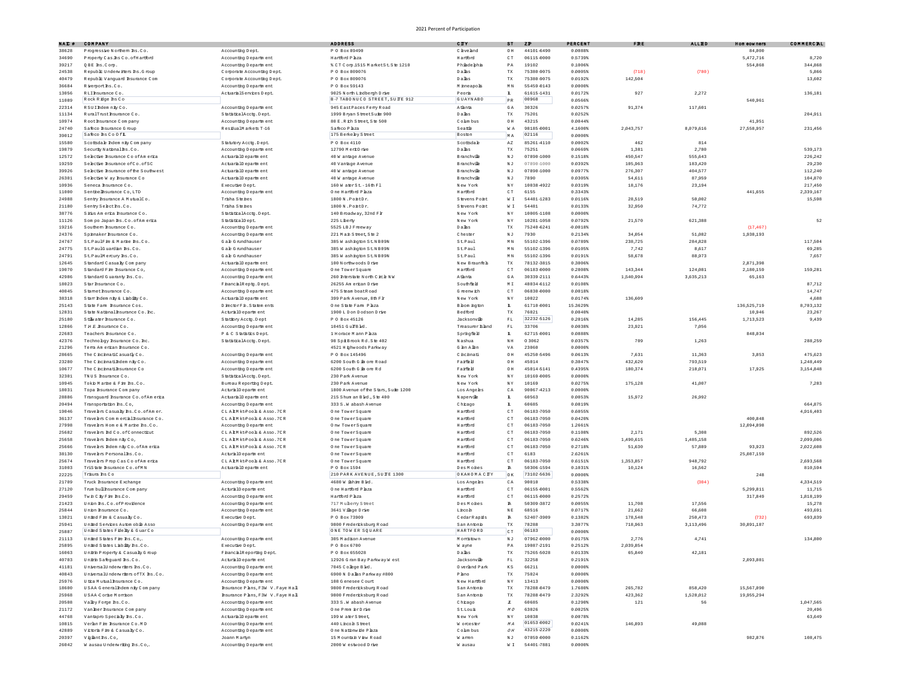| NAI #          | COMPANY                                                            |                                                | <b>ADDRESS</b>                               | CITY                    | 3T                             | ZD         | PERCENT     | FRE       | <b>ALLED</b> | Hom cowners | CONNERCEL |
|----------------|--------------------------------------------------------------------|------------------------------------------------|----------------------------------------------|-------------------------|--------------------------------|------------|-------------|-----------|--------------|-------------|-----------|
| 38628          | Progressive Northern Ins.Co.                                       | Accounting Dept.                               | P 0 Box 89490                                | C leve hnd              | OH                             | 44101-6490 | 0.0088%     |           |              | 84,000      |           |
| 34690          | Property Cas.hs Co. of Hartford                                    | Accounting Department                          | Hartford Phza                                | Hartford                | $\subset$ T                    | 06115-0000 | 0.5739%     |           |              | 5,472,716   | 8,720     |
| 39217          | QBE hs. Com.                                                       | Accounting Department                          | % CT Com 1515 M arketSt Ste 1210             | Phiadephia              | PA                             | 19102      | 0.1006%     |           |              | 554,868     | 344.868   |
| 24538          | Republic Underwitters Ins. Group                                   | Comorate Accounting Dept                       | P 0 Box 809076                               | Dalhs                   | $_{\rm TX}$                    | 75380-9075 | 0.0005      | (718)     | (780)        |             | 5,866     |
| 40479          | Republic Vanguard Insurance Com                                    | Corporate Accounting Dept.                     | P 0 Box 80907                                | Dalhs                   | TX                             | 75380-9075 | 0.0192%     | 142,504   |              |             | 13,602    |
| 36684          | Riverport hs.Co.                                                   | Accounting Department                          | P 0 Box 59143                                | M inneapolis            | $\mathbb M$ $\mathbb N$        | 55459-0143 | 0.0000\$    |           |              |             |           |
| 13056          | RLI hsurance Co.                                                   | ActuarialServices Dept.                        | 9025 North Lindbergh Drive                   | Peoria                  | $\mathbf{L}$                   | 61615-1431 | 0.0172%     | 927       | 2,272        |             | 136,181   |
| 11089          | Rock Ridge hs Co                                                   |                                                | B-7 TABONUCO STREET, SUIE 912                | <b>GUAYNABO</b>         | PR                             | 00968      | 0.0566%     |           |              | 540,961     |           |
| 22314          | RSUIndem niv Co                                                    | Accounting Department                          | 945 EastPaces Feny Road                      | Atlanta                 | GA                             | 30326      | 0.0257%     | 91,374    | 117,601      |             |           |
| 11134          | RumlTrust Insumnce Co                                              | StatisticalAcctg.Dept.                         | 1999 Bryan StreetSuite 900                   | Dalas                   | $_{\rm TX}$                    | 75201      | 0.0252%     |           |              |             | 204.911   |
| 10974          | Root hsumnce Company                                               | Accounting Department                          | 80 E.R.ich Street, Ste 500                   | Colm bus                | 0H                             | 43215      | 0.0044%     |           |              | 41,951      |           |
| 24740          | Safeco Insurance G roup                                            | ResidualMarkets T-16                           | Safeco Phza                                  | Seattle                 | WA                             | 98185-0001 | 4.1600%     | 2,043,757 | 8,079,616    | 27,558,957  | 231,456   |
| 39012          | Safeco hs Co Of L                                                  |                                                | 175 Berkeley Street                          | Boston                  | MA                             | 02116      | $0.0000$ \$ |           |              |             |           |
| 15580          | Scottsdale Indemnity Company                                       | Statutory Acctg. Dept.                         | P 0 Box 4110                                 | Scottsdale              | $\mathbb{A}\, \mathbb{Z}$      | 85261-4110 | 0.0002%     | 462       | 814          |             |           |
| 19879          | Security National Ins. Co.                                         | Accounting Department                          | 12790 MerkDrive                              | Dalhs                   | $_{\rm TX}$                    | 75251      | 0.0669%     | 1,381     | 2,780        |             | 539.17    |
| 12572          | Selective Insurance CoofAmerica                                    | ActuarialD epartment                           | 40 W antage Avenue                           | <b>Branchville</b>      | $\mathbb N$ J                  | 07890-1000 | 0.1518%     | 450,547   | 555,643      |             | 226,242   |
| 19259          | Selective Insurance of Co. of SC                                   | ActuarialD epartm ent                          | 40 Vantage Avenue                            | <b>Branchville</b>      | $\mathbb N$ J                  | 07890-1000 | 0.0392%     | 105,963   | 183,420      |             | 29,230    |
| 39926          | Selective Insurance of the Southwest                               | ActuarialD epartment                           | 40 W antage Avenue                           | <b>Branchville</b>      | $\mathbb N$ J                  | 07890-1000 | 0.09778     | 276.307   | 404,577      |             | 112.24    |
| 26301          | Selective W av Insurance Co.                                       | ActuarialD epartment                           | 40 W antage Avenue                           | <b>Branchville</b>      | N <sub>J</sub>                 | 7890       | 0.0305%     | 54,611    | 87,959       |             | 104,870   |
| 10936          | Seneca Insurance Co.                                               | Executive Dept.                                | 160 W aterSt. - 16th F1                      | New York                | NY                             | 10038-4922 | 0.0319%     | 18.176    | 23.194       |             | 217.45    |
| 11000          | Senthelhsurance Co.LTD                                             | Accounting Department                          | One Hartford Phza                            | Hartford                | C T                            | 6155       | 0.3343%     |           |              | 441.655     | 2,339,167 |
| 24988          | Sentry Insurance A MutualCo.                                       | Trisha Steines                                 | 1800 N.PontDr.                               | Stevens Point           | W I                            | 54481-1283 | 0.0116%     | 28,519    | 50,002       |             | 15,598    |
| 21180          | Sentry Select hs.Co                                                | Trisha Steines                                 | 1800 N.PontDr.                               | Stevens Point           | W I                            | 54481      | 0.0133%     | 32,950    | 74,772       |             |           |
| 38776          | Sidus Am erica Insurance Co.                                       | StatisticalAcctg.Dept.                         | 140 Broadway, 32nd Flr                       | New York                | NY                             | 10005-1108 | 0.0000\$    |           |              |             |           |
| 11126          | Som po Japan hs.Co.ofAmerica                                       | StatisticalDept                                | 225 Liberty                                  | New York                | NY                             | 10281-1058 | 0.0792%     | 21,570    | 621,388      |             | 52        |
| 19216          | Southern haurance Co.                                              |                                                | 5525 LBJ Freeway                             | Dalhs                   | TX                             | 75240-6241 | $-0.0018%$  |           |              | (17.467)    |           |
|                |                                                                    | Accounting Department                          |                                              |                         |                                |            |             |           |              |             |           |
| 24376          | Spinnaker Insurance Co                                             | Accounting Department                          | 221 Main Street, Ste 2                       | Chester                 | $\mathbb N$ J                  | 7930       | 0.2134%     | 34,054    | 51,082       | 1,938,193   |           |
| 24767          | St.PaulFire & Marine Ins.Co.                                       | G a k G nundhauser                             | 385 W ashington St.NB09N                     | St.Paul                 | $\mathbb M$ $\mathbb N$        | 55102-1396 | 0.0789%     | 238,725   | 284,828      |             | 117,504   |
| 24775          | St.PaulGuardian Ins.Co                                             | G a le G nundhauser                            | 385 W ashington St.NB09N                     | St.Paul                 | $\mathbb M$ $\mathbb N$        | 55102-1396 | 0.0105%     | 7,742     | 8,617        |             | 69,285    |
| 24791          | St.PaulMercury hs.Co.                                              | Gale G mndhauser                               | 385 W ashington St.NB09N                     | St.Paul                 | M <sub>N</sub>                 | 55102-1396 | 0.01918     | 58,678    | 88,973       |             | 7.65      |
| 12645          | Standard Casualty Company                                          | ActuarialD epartment                           | 100 Northwoods Dirks                         | New Braunfels           | TX                             | 78132-3815 | 0.3006%     |           |              | 2.871.398   |           |
| 19070          | Standard Fire Insurance Co.                                        | Accounting Department                          | One TowerSquare                              | Hartford                | CT                             | 06183-0000 | 0.2808%     | 143,344   | 124.081      | 2,180,159   | 159.281   |
| 42986          | Standard Guaranty Ins.Co.                                          | Accounting Department                          | 260 Interstate North Circle NW               | Atlanta                 | GA                             | 30339-2111 | 0.6443%     | 1,540,994 | 3,635,213    | 65,163      |           |
| 18023          | Star haurance Co.                                                  | FhancalReptg.Dept.                             | 26255 Am erican Drive                        | Southfield              | MI                             | 48034-6112 | 0.0108%     |           |              |             | 87.71     |
| 40045          | Stamet haurance Co.                                                | Accounting Department                          | 475 Steam boatRoad                           | G reenwich              | $\hbox{C}$ T                   | 06830-0000 | 0.0018%     |           |              |             | 14,747    |
| 38318          | Starr Indem nity & Liability Co                                    | ActuarialD epartment                           | 399 Park Avenue, 8th Flr                     | New York                | NY                             | 10022      | 0.0174%     | 136,609   |              |             | 4,688     |
| 25143          | State Farm haurance Cos                                            | DirectorFin.Statements                         | One State Fam Phza                           | B bom ington            | $\mathbbm{L}$                  | 61710-0001 | 15.36298    |           |              | 136,525,719 | 8,703,132 |
| 12831          | State National haurance Co. hc.                                    | ActuralD epartment                             | 1900 L D on D odson D rive                   | Bedford                 | TX                             | 76021      | $0.0040*$   |           |              | 10,946      | 23,267    |
| 25180          | Stillwater hsumnce Co.                                             | Stationy Acctg. Dept                           | P O Box 45126                                | Jacksonville            | $\mathbb{F} \mathbb{L}$        | 32232-5126 | 0.2016%     | 14,285    | 156,445      | 1,713,523   | 9,439     |
| 12866          | THE hsumance Co.                                                   | Accounting Department                          | 10451 GulfBld                                | Treasurer Bland         | $\mathbb{F} \mathbb{L}$        | 33706      | 0.0038%     | 23,921    | 7,056        |             |           |
| 22683          | Teachers Insurance Co.                                             | P & C Statistics Dept.                         | 1 Horace Mann P hza                          | Springfield             | $\mathbbm{L}$                  | 62715-0001 | 0.0888%     |           |              | 848,034     |           |
| 42376          | Technology Insurance Co. Inc.                                      | StatisticalAcctg.Dept.                         | 98 SpiBrook Rd. Ste 402                      | N ashua                 | NH                             | 03062      | 0.03578     | 709       | 1,263        |             | 288.25    |
| 21296          | Tema Am erican Insurance Co.                                       |                                                | 4521 H ighwoods Parkway                      | G len Allen             | $_{\mathrm{VA}}$               | 23060      | 0.0000\$    |           |              |             |           |
| 28665          | The ChchnatiCasuatly Co.                                           | Accounting Department                          | P 0 Box 145496                               | C hohnati               | 0H                             | 45250-5496 | 0.0613%     | 7.631     | 11,363       | 3,853       | 475,623   |
| 23280          | The C nonnatifidem nity Co.                                        | Accounting Department                          | 6200 South G fin ore Road                    | Faifel                  | 0H                             | 45014      | 0.3047%     | 432,620   | 793,519      |             | 1,248,449 |
| 10677          | The C nchnatilhsurance Co                                          | Accounting Department                          | 6200 South G in ore Rd                       | Faifel                  | OH                             | 45014-5141 | 0.4395%     | 180,374   | 218,071      | 17,925      | 3,154,848 |
| 32301          | TNUS hsumance Co.                                                  | StatisticalAcctg.Dept.                         | 230 Park Avenue                              | New York                | $\mathbb{N}$ Y                 | 10169-0005 | $0.0000$ \$ |           |              |             |           |
| 10945          | Tokio Marine & Fire hs.Co.                                         | Bureau Reporting Dept                          | 230 Park Avenue                              | New York                | NY                             | 10169      | 0.0275%     | 175,128   | 41,007       |             | 7.283     |
| 18031          | Topa hsurance Com pany                                             | ActuralD epartment                             | 1800 Avenue of the Stars, Suite 1200         | Los Angeles             | $\mathbb C$ A                  | 90067-4213 | 0.0000\$    |           |              |             |           |
| 28886          | Transquard Insurance Co. of America                                | ActuarialD epartment                           | 215 Shum an Bld., Ste 400                    | Naperville              | $\mathbf{L}$                   | 60563      | 0.0053%     | 15,972    | 26,992       |             |           |
| 20494          | Transportation Ins.Co.                                             | Accounting Department                          | 333 S.W abash Avenue                         | Chrago                  | $\mathbf{L}$                   | 60685      | 0.0819%     |           |              |             | 664,875   |
| 19046          | Travelers Casualy Ins. Co. of Am er                                | CLALM kt-Pools & Asso. 7CR                     | One TowerSquare                              | Hartford                | CT                             | 06183-7050 | 0.6055%     |           |              |             | 4,916,403 |
| 36137          | Travelers Commercial Insurance Co                                  | CLALM ktPoob& Asso.7CR                         | One TowerSquan                               | Hartford                | $\hbox{C}$ T                   | 06183-7050 | 0.0420%     |           |              | 400,848     |           |
| 27998          | Travelers Hom e & Marine Ins.Co.                                   | Accounting Department                          | Onw TowerSquare                              | Hartford                | $\hbox{C}$ T                   | 06183-7050 | 1.2661%     |           |              | 12,094,898  |           |
| 25682          | Travelers Ind Co. of Connecticut                                   | CLALM ktPoob& Asso.7CR                         | One TowerSquare                              | Hartford                | CT                             | 06183-7050 | 0.1108%     | 2,171     | 5,308        |             | 892.52    |
| 25658          | Travelers Indem nity Co.                                           | CLAEM kt-Pools & Asso, 7CR                     | One TowerSquare                              | Hartford                | $\subset$ $\cal{T}$            | 06183-7050 | 0.6246%     | 1,490,615 | 1,485,158    |             | 2,099,086 |
| 25666          | Travelers Indem nity Co. of Am erica                               | CLAEM kt-Pools & Asso, 7CR                     | One TowerSquare                              | Hartford                | CT                             | 06183-7050 | 0.2718%     | 51,630    | 57,889       | 93.923      | 2,022,608 |
| 38130          | Travelers Personal hs.Co.                                          | ActuralD epartment                             | One TowerSquare                              | Hartford                | C T                            | 6183       | 2.6261%     |           |              | 25,087,159  |           |
| 25674          | Travelers Prop Cas Co of America                                   | CLALM ktPoob& Asso.7CR                         | One TowerSquare                              | Hartford                | $\subset$ T                    | 06183-7050 | 0.6151%     | 1,353,857 | 948,792      |             | 2,693,568 |
| 31003          | TriState Insurance Co.ofMN                                         | ActuarialD epartment                           | P 0 Box 1594                                 | Des Mones               | $\mathbbm{R}$                  | 50306-1594 | 0.1031%     | 10,124    | 16,562       |             | 810,594   |
| 22225          | Trisum hs Co                                                       |                                                | 210 PARK AVENUE, SU TE 1300                  | OKAHOMA CITY            | <b>OK</b>                      | 73102-5636 | 0.0000\$    |           |              | 248         |           |
| 21709          | Truck Insurance Exchange                                           | Accounting Department                          | 4680 W ishie Bld.                            | Los Angeles             | $\mathbb C$ A                  | 90010      | 0.5338%     |           | (304)        |             | 4,334,519 |
| 27120          | Trum bull haurance Com pany                                        | ActuralD epartment                             | One Hartford Phza                            | Hartford                | CT                             | 06155-0001 | 0.5562%     |           |              | 5,299,811   | 11,715    |
| 29459          | TwinCity Fire hs.Co.                                               | Accounting Department                          | Hartford Phza                                | Hartford                | CT                             | 06115-0000 | 0.2572%     |           |              | 317,849     | 1,818,199 |
|                | Union hs.Co.ofProvidence                                           |                                                | 717 Muberry Street                           | Des Mohes               |                                | 50309-3872 | 0.0055%     | 11,708    | 17,556       |             | 15,27     |
| 21423<br>25844 | Union Insurance Co.                                                | Accounting Department<br>Accounting Department | 3641 Village Drive                           | Lincoh                  | $\mathbbm{R}$<br>$\mathbb N$ E | 68516      | 0.0717%     | 21,662    | 66,608       |             | 493,691   |
|                |                                                                    |                                                | P.O. Box 73909                               |                         |                                | 52407-3909 | 0.1382%     |           |              |             | 693.839   |
| 13021          | United Fire & Casualty Co.                                         | Executive Dept.                                |                                              | CedarRapids             | $\mathbbm{R}$                  | 78288      |             | 178,548   | 250,473      | (732)       |           |
| 25941          | United Services Autom obile Asso<br>United States Filelty & GuarCo | Accounting Department                          | 9800 Fredericksburg Road<br>ONE TOWER SQUARE | San Antonio<br>HARTFORD | $_{\rm TX}$                    | 06183      | 3.3077%     | 718,963   | 3,113,496    | 30,891,187  |           |
| 25887          |                                                                    |                                                |                                              |                         | CT                             |            | $0.0000*$   |           |              |             |           |
| 21113          | United States Fire hs.Co.                                          | Accounting Department                          | 305 M adison Avenue                          | M orristown             | NJ                             | 07962-0000 | 0.0175%     | 2.776     | 4,741        |             | 134,800   |
| 25895          | United States Liability Ins. Co                                    | Executive Dept.                                | P 0 Box 6700                                 | W ayne                  | РA                             | 19087-2191 | 0.2512%     | 2,039,854 |              |             |           |
| 16063          | Unirh Property & Casualy Group                                     | F hancialR eporting Dept.                      | P 0 Box 655028                               | Dalas                   | TX                             | 75265-5028 | 0.0133%     | 65,840    | 42,181       |             |           |
| 40703          | Unirh Safeguard hs.Co.                                             | ActuralD epartment                             | 12926 G man Bay Parkway W est                | Jacksonville            | $\mathbb{F} \mathbb{L}$        | 32258      | 0.2191%     |           |              | 2,093,081   |           |
| 41181          | UniversalUnderwriters hs.Co.                                       | Accounting Department                          | 7045 College Bld.                            | 0 verland Park          | K S                            | 66211      | $0.0000*$   |           |              |             |           |
| 40843          | UniversalUnderwriters of TX hs.Co.                                 | Accounting Department                          | 6900 N Dalas Parkway #800                    | P hno                   | TX                             | 75024      | $0.0000$ \$ |           |              |             |           |
| 25976          | U tha Mutual Insurance Co.                                         | Accounting Department                          | 108 G enesee Court                           | New Hartford            | NY                             | 13413      | $0.0000*$   |           |              |             |           |
| 18600          | USAA Generalldem niy Company                                       | hsurance P hns, F3W V. Faye Hall               | 9800 Fredericksburg Road                     | San Antonio             | $_{\rm TX}$                    | 78288-0479 | 1,7680%     | 265.782   | 858,420      | 15,567,090  |           |
| 25968          | USAA-Corise Morrison                                               | hsumnce Phns, F3W V. Faye Hall                 | 9800 Fredericksburg Road                     | San Antonio             | TX                             | 78288-0479 | 2.3292%     | 423,362   | 1,528,012    | 19,955,294  |           |
| 20508          | Valley Forge Ins.Co.                                               | Accounting Department                          | 333 S.W abash Avenue                         | Chrago                  | $\mathcal{I}$                  | 60685      | 0.1290%     | $1\,2\,1$ | 56           |             | 1,047,565 |
| 21172          | Vanlher hsurance Com pany                                          | Accounting Department                          | One Premier Drive                            | St.Louis                | $M$ ${\cal O}$                 | 63026      | 0.0025%     |           |              |             | 20,496    |
| 44768          | Vantaoro Specialty Ins.Co.                                         | ActuarialD epartment                           | 199 W aterStreet.                            | New York                | NY                             | 10038      | 0.0078%     |           |              |             | 63,649    |
| 10815          | Verkn Fire Insurance Co. MD                                        | Accounting Department                          | 440 Lincoln Street                           | W orcester              | MA                             | 01653-0002 | 0.0241      | 146,893   | 49.088       |             |           |
| 42889          | Victoria Fire & Casualty Co.                                       | Accounting Department                          | One Nationwide Plaza                         | Colm bus                | O H                            | 43215-2220 | $0.0000*$   |           |              |             |           |
| 20397          | Vigianths.Co,                                                      | Joann Martyn                                   | 15 Mountain View Road                        | W anen                  | $\mathbb{N}$ J                 | 07059-0000 | 0.1162%     |           |              | 982,876     | 108,475   |
| 26042          | W ausau Underwriting Ins.Co.                                       | Accounting Department                          | 2000 W estwood Drive                         | W ausau                 | W I                            | 54401-7881 | $0.0000$ \$ |           |              |             |           |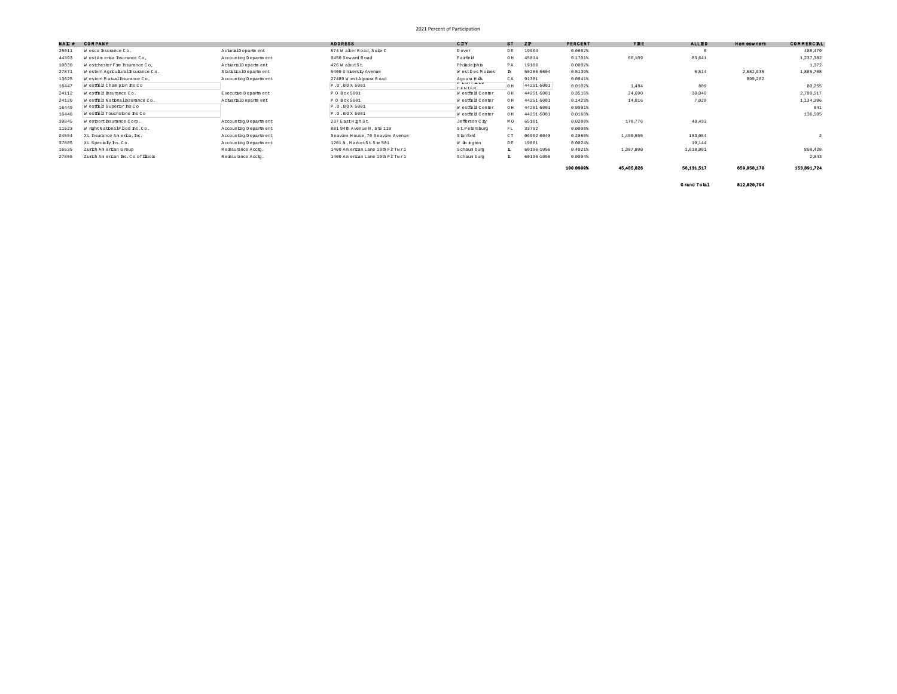| NAI # | <b>COMPANY</b>                     |                       | <b>ADDRESS</b>                   | CITY                                       | $ST$ $2P$ |            | <b>PERCENT</b> | <b>FRE</b> | <b>ALLED</b> | Hom cowners | CONNERCIL   |
|-------|------------------------------------|-----------------------|----------------------------------|--------------------------------------------|-----------|------------|----------------|------------|--------------|-------------|-------------|
| 25011 | W esco haurance Co.                | ActuralD epartment    | 874 WakerRoad. Suite C           | Dover                                      | DE        | 19904      | 0.0602%        |            |              |             | 488,479     |
| 44393 | W estAm erka hsurance Co,          | Accounting Department | 9450 Seward Road                 | Faifel                                     | O H       | 45014      | 0.1701%        | 60,109     | 83,641       |             | 1,237,382   |
| 10030 | WestchesterFire hsumance Co.       | ActuarialD epartment  | 426 W ahutSt                     | Phiadephia                                 | PA        | 19106      | $0.0002$ \$    |            |              |             | 1,372       |
| 27871 | Western Agricultural Insurance Co. | StatisticalDepartment | 5400 University Avenue           | WestDesMohes                               |           | 50266-5604 | 0.5139%        |            | 6,514        | 2,682,935   | 1,885,708   |
| 13625 | Western Mutual Insurance Co.       | Accounting Department | 27489 W estAgoum Road            | Agoura Hills<br>$B = 0.011$ and $B = 0.01$ | CA.       | 91301      | 0.0941%        |            |              | 899,262     |             |
| 16447 | Westfield Champion Ins Co          |                       | P.O.BOX 5001                     | <b>OPMPPD</b>                              |           | 44251-5001 | 0.0102         | 1,494      | 809          |             | 80.255      |
| 24112 | Westfield hsumnce Co.              | Executive Department  | P 0 Box 5001                     | Westfield Center                           | OH        | 44251-5001 | 0.3515%        | 24,690     | 30.040       |             | 2,799,517   |
| 24120 | Westfield National haurance Co.    | ActuarialD epartment  | P 0 Box 5001                     | Westfield Center                           | OH        | 44251-5001 | $0.1423*$      | 14,016     | 7.020        |             | 1,134,306   |
| 16449 | Westfield Superior Ins Co          |                       | P.O.BOX 5001                     | Westfield Center                           | OH        | 44251-5001 | $0.0001$ \$    |            |              |             | 841         |
| 16448 | Westfield Touchstone Ins Co        |                       | P.O.BOX 5001                     | Westfield Center                           | OH        | 44251-5001 | 0.0168%        |            |              |             | 136,505     |
| 39845 | Westport hsurance Corp.            | Accounting Department | 237 EastHigh St.                 | Jefferson C ty                             | M O       | 65101      | 0.0280%        | 178,776    | 48,433       |             |             |
| 11523 | W rightNationalF bod hs.Co.        | Accounting Department | 801 94th Avenue N .Ste 110       | St. Petersburg                             | FL        | 33702      | 0.00001        |            |              |             |             |
| 24554 | XL hsurance Am erica. hc.          | Accounting Department | Seaview House, 70 Seaview Avenue | Stanford                                   | CT.       | 06902-6040 | $0.2060*$      | 1,489,555  | 183,084      |             |             |
| 37885 | XL Specialy Ms.Co.                 | Accounting Department | 1201 N.MarketSt.Ste 501          | W im ngton                                 | DE        | 19801      | 0.0024%        |            | 19.144       |             |             |
| 16535 | Zurich Am erican G roup            | Rehsumnce Acctq.      | 1400 Am erican Lane 19th FlrTwr1 | Schaum burg                                | L.        | 60196-1056 | 0.4021         | 1,387,800  | 1,018,981    |             | 858,428     |
| 27855 | Zurich American Ins. Co of Illhois | Rehsumnce Acctq.      | 1400 Am erican Lane 19th FlrTwr1 | Schaum burg                                |           | 60196-1056 | 0.0004         |            |              |             | 2.843       |
|       |                                    |                       |                                  |                                            |           |            | 100,00001      | 45 485 826 | 56 131 517   | 659 058 170 | 153,891,724 |

Grand Total 812,020,794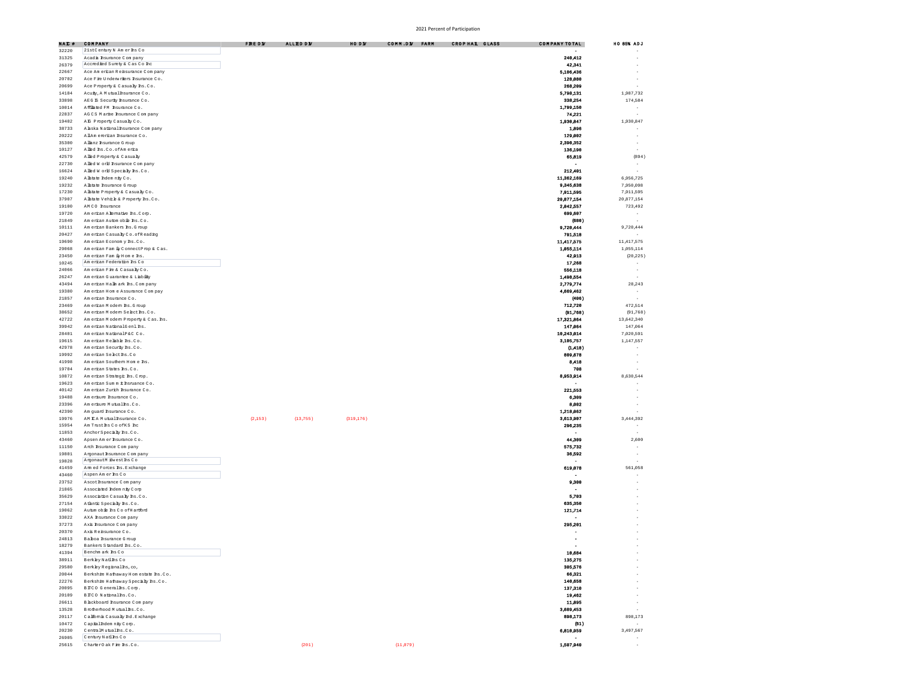| NAC#           | COMPANY                                                               | FRE DY  | <b>ALLED DV</b> | HO DW      | CONN.DY FARM | CROPHAL GLASS | COMPANY TOTAL            | HO 85% ADJ               |
|----------------|-----------------------------------------------------------------------|---------|-----------------|------------|--------------|---------------|--------------------------|--------------------------|
| 32220          | 21stCentury N Amerins Co                                              |         |                 |            |              |               |                          |                          |
| 31325          | Acada hsumnce Company                                                 |         |                 |            |              |               | 240,412                  |                          |
| 26379          | Accredied Surety & Cas Co Inc                                         |         |                 |            |              |               | 42,341                   |                          |
| 22667          | Ace Am erican Reinsurance Com pany                                    |         |                 |            |              |               | 5,106,436                |                          |
| 20702          | Ace Fire Underwriters Insurance Co.                                   |         |                 |            |              |               | 128,080                  |                          |
| 20699          | Ace Property & Casualty Ins. Co.                                      |         |                 |            |              |               | 268,209                  |                          |
| 14184<br>33898 | Acuiy, A Mutual haurance Co.<br>AEG E Security Insurance Co.          |         |                 |            |              |               | 5,798,131<br>338,254     | 1,987,732<br>174,584     |
| 10014          | Affliated FM Insurance Co.                                            |         |                 |            |              |               | 1,799,150                | $\sim$                   |
| 22837          | AGCS Marhe hsumance Company                                           |         |                 |            |              |               | 74,221                   | $\sim$                   |
| 19402          | AE Property Casualy Co.                                               |         |                 |            |              |               | 1,930,847                | 1,930,847                |
| 38733          | A aska National Insurance Company                                     |         |                 |            |              |               | 1,896                    |                          |
| 20222          | AllAm ererican Insurance Co.                                          |         |                 |            |              |               | 129,002                  | $\sim$                   |
| 35300          | A lianz haurance G roup                                               |         |                 |            |              |               | 2,390,352                | ÷.                       |
| 10127          | Alled hs.Co.ofAmerica                                                 |         |                 |            |              |               | 136,190                  |                          |
| 42579          | Allied Property & Casualty                                            |         |                 |            |              |               | 65,819                   | (894)                    |
| 22730          | A lied W orld Insurance Company                                       |         |                 |            |              |               | $\overline{\phantom{a}}$ |                          |
| 16624          | Alled W orld Specially Ins.Co.<br>Alstate Indem nity Co.              |         |                 |            |              |               | 212,401<br>11 362 169    | ÷.                       |
| 19240<br>19232 | A listate Insurance G roup                                            |         |                 |            |              |               | 9,345,638                | 6,956,725<br>7,950,098   |
| 17230          | Alstate Property & Casualty Co.                                       |         |                 |            |              |               | 7.911.595                | 7,911,595                |
| 37907          | Alstate Vehicle & Property Rs.Co.                                     |         |                 |            |              |               | 20,877,154               | 20 877 154               |
| 19100          | AMCO hsurance                                                         |         |                 |            |              |               | 2,042,557                | 723,492                  |
| 19720          | Am erican A hemative hs. Corp.                                        |         |                 |            |              |               | 699,607                  |                          |
| 21849          | Am erican Autom obie hs.Co.                                           |         |                 |            |              |               | (680)                    |                          |
| 10111          | Am erican Bankers Ins. G roup                                         |         |                 |            |              |               | 9,720,444                | 9,720,444                |
| 20427          | Am erban Casualy Co. of Reading                                       |         |                 |            |              |               | 791,518                  |                          |
| 19690          | Am erican Econom y Ins.Co.                                            |         |                 |            |              |               | 11 417 575               | 11 417 575               |
| 29068          | Am erican Fam ily ConnectProp & Cas.                                  |         |                 |            |              |               | 1,055,114                | 1,055,114                |
| 23450          | Am erican Fam iy Hom e Ins.<br>Am erican Federation Ins Co            |         |                 |            |              |               | 42,913<br>17,268         | (20, 225)                |
| 10245<br>24066 | Am erican Fire & Casualy Co.                                          |         |                 |            |              |               | 556,118                  | $\sim$<br>×,             |
| 26247          | Am erican Guarantee & Liability                                       |         |                 |            |              |               | 1,498,554                | $\sim$                   |
| 43494          | Am erican Hallm ark Ins. Com pany                                     |         |                 |            |              |               | 2.779.774                | 28,243                   |
| 19380          | Am erican Hom e Assurance Com pay                                     |         |                 |            |              |               | 4,669,462                | $\sim$                   |
| 21857          | Am erican Insurance Co.                                               |         |                 |            |              |               | (406)                    |                          |
| 23469          | Am erkan Modern Ins. G roup                                           |         |                 |            |              |               | 712,720                  | 472,514                  |
| 38652          | Am erkan Modern Select Ins. Co.<br>American Modern Property & Cas Ths |         |                 |            |              |               | (91, 768)<br>17,321,864  | (91, 768)<br>13,642,340  |
| 42722<br>39942 | Am erran NathnalGenl hs                                               |         |                 |            |              |               | 147.064                  | 147,064                  |
| 28401          | Am erran NationalP&C Co.                                              |         |                 |            |              |               | 10,243,014               | 7,020,591                |
| 19615          | Am erican Reliable hs.Co.                                             |         |                 |            |              |               | 3,105,757                | 1,147,557                |
| 42978          | Am erican Security Ins.Co.                                            |         |                 |            |              |               | (1,418)                  |                          |
| 19992          | Am erican Selectins.Co                                                |         |                 |            |              |               | 809,678                  |                          |
| 41998          | Am erican Southern Home hs.                                           |         |                 |            |              |               | 8,418                    |                          |
| 19704          | Am erban States hs.Co.<br>Am erkan Strategic hs. Crop.                |         |                 |            |              |               | 708<br>8,953,914         | 8,630,544                |
| 10872<br>19623 | Am ercan Sum m <i>i</i> hsmance Co.                                   |         |                 |            |              |               |                          |                          |
| 40142          | Am erican Zurich Insurance Co.                                        |         |                 |            |              |               | 221,553                  |                          |
| 19488          | Am erisure Insurance Co.                                              |         |                 |            |              |               | 6,309                    |                          |
| 23396          | Am ersure Mutuallas.Co.                                               |         |                 |            |              |               | 8,002                    |                          |
| 42390          | Am quard hsurance Co.                                                 |         |                 |            |              |               | 1,218,062                |                          |
| 19976          | AM CA Mutual Insurance Co.                                            | (2,153) | (13, 755)       | (319, 176) |              |               | 3,613,907                | 3,444,392                |
| 15954<br>11853 | Am Trust hs Co of KS hc<br>AnchorSpecialy hs.Co.                      |         |                 |            |              |               | 296,235                  | $\overline{\phantom{a}}$ |
| 43460          | Apsen Am er Insurance Co.                                             |         |                 |            |              |               | 44,309                   | 2,600                    |
| 11150          | Arch Insurance Company                                                |         |                 |            |              |               | 575,732                  | $\sim$                   |
| 19801          | Argonaut hsurance Com pany                                            |         |                 |            |              |               | 36,592                   | ×,                       |
| 19828          | ArgonautM <i>i</i> dwest hs Co                                        |         |                 |            |              |               |                          |                          |
| 41459          | Am ed Forces hs. Exchange                                             |         |                 |            |              |               | 619,078                  | 561,058                  |
| 43460          | Aspen Am er hs Co                                                     |         |                 |            |              |               |                          |                          |
| 23752<br>21865 | Ascothsurance Company<br>Associated Indemnity Com                     |         |                 |            |              |               | 9,300                    |                          |
| 35629          | Association Casualy Ins.Co.                                           |         |                 |            |              |               | 5,703                    |                          |
| 27154          | Atlantic Specialty his Co.                                            |         |                 |            |              |               | 635.350                  |                          |
| 19062          | Autum obje hs Co of Hartford                                          |         |                 |            |              |               | 121,714                  |                          |
| 33022          | AXA hsurance Com pany                                                 |         |                 |            |              |               | $\overline{\phantom{a}}$ |                          |
| 37273          | Axis Insurance Company                                                |         |                 |            |              |               | 295,201                  |                          |
| 20370          | Axis Reinsurance Co.                                                  |         |                 |            |              |               |                          |                          |
| 24813          | Baboa hsurance G roup                                                 |         |                 |            |              |               |                          |                          |
| 18279          | Bankers Standard Bs.Co.<br>Benchm ark Ins Co                          |         |                 |            |              |               |                          |                          |
| 41394<br>38911 | Berkley Natlins Co                                                    |         |                 |            |              |               | 10,684<br>135,275        |                          |
| 29580          | Berkley Regional hs, co,                                              |         |                 |            |              |               | 305,576                  |                          |
| 20044          | Berkshire Hathaway Homestate Ins.Co.                                  |         |                 |            |              |               | 66,321                   |                          |
| 22276          | Berkshire Hathaway Specially Ins.Co.                                  |         |                 |            |              |               | 140,658                  |                          |
| 20095          | BICO GeneralMs.Com.                                                   |         |                 |            |              |               | 137,310                  |                          |
| 20109          | BICO National hs.Co.                                                  |         |                 |            |              |               | 19,462                   | $\overline{\phantom{a}}$ |
| 26611          | Blackboard Insurance Company                                          |         |                 |            |              |               | 11,895                   | - 11                     |
| 13528<br>20117 | Brotherhood Mutual hs.Co.<br>California Casualy Ind. Exchange         |         |                 |            |              |               | 3,689,453<br>898,173     | 898,173                  |
| 10472          | Capialindem nity Corp.                                                |         |                 |            |              |               | (61)                     |                          |
| 20230          | CentalMutualhs.Co.                                                    |         |                 |            |              |               | 6,810,959                | 3,497,567                |
| 26905          | Century Natlins Co                                                    |         |                 |            |              |               |                          |                          |
| 25615          | Charter Oak Fire hs. Co.                                              |         | (201)           |            | (11,079)     |               | 1,507,940                |                          |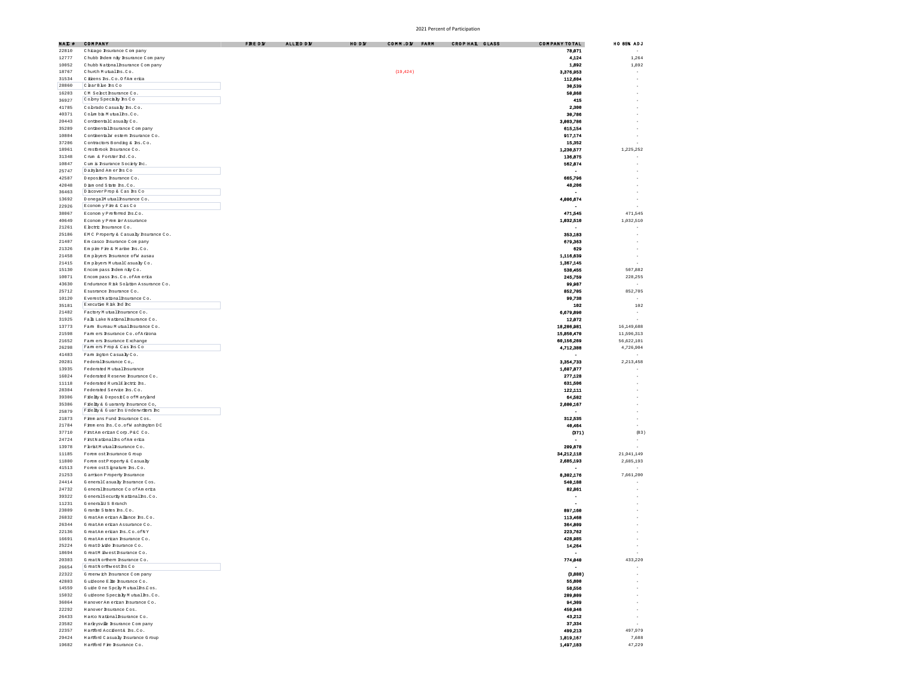| NAC#           | COMPANY                                                             | FRE D V | <b>ALLED DY</b> | HO DN | CONN.DY FARM | CROP HAL GLASS | COMPANY TOTAL            | HO 85% ADJ               |
|----------------|---------------------------------------------------------------------|---------|-----------------|-------|--------------|----------------|--------------------------|--------------------------|
| 22810          | Chicago Insurance Company                                           |         |                 |       |              |                | 78,071                   |                          |
| 12777          | Chubb Indem nity Insurance Company                                  |         |                 |       |              |                | 4,124                    | 1,264                    |
| 10052          | Chubb National Insurance Company                                    |         |                 |       |              |                | 1,892                    | 1,892                    |
| 18767          | Church Mutualles.Co.                                                |         |                 |       | (19, 424)    |                | 3,376,953                |                          |
| 31534          | Citizens Ins. Co. O fAm erica                                       |         |                 |       |              |                | 112,604                  |                          |
| 28860          | ClearBlue hs Co                                                     |         |                 |       |              |                | 30,539                   |                          |
| 16203          | CM Select hsumance Co.                                              |         |                 |       |              |                | 50,868                   |                          |
| 36927          | Cobny Specialy hs Co                                                |         |                 |       |              |                | 415                      |                          |
| 41785          | Cobrado Casualy hs.Co.                                              |         |                 |       |              |                | 2,300                    |                          |
| 40371          | Colm ba Mutual hs.Co.                                               |         |                 |       |              |                | 30,786                   |                          |
| 20443          | ConthentalCasualyCo.                                                |         |                 |       |              |                | 3,003,786                |                          |
| 35289          | Conthental haurance Company                                         |         |                 |       |              |                | 615,154                  |                          |
| 10804          | ConthentalW estern Insurance Co.                                    |         |                 |       |              |                | 917,174                  |                          |
| 37206          | Contactors Bonding & hs.Co.                                         |         |                 |       |              |                | 15,352                   |                          |
| 18961          | Crestbrook Insurance Co.                                            |         |                 |       |              |                | 1,230,577                | 1,225,252                |
| 31348          | Chum & Forster Ind.Co.                                              |         |                 |       |              |                | 136,875                  |                          |
| 10847          | Cum is Insurance Society Inc.                                       |         |                 |       |              |                | 562,074                  |                          |
| 25747          | Daiyand Amerins Co                                                  |         |                 |       |              |                |                          |                          |
| 42587          | Depositors Insurance Co.                                            |         |                 |       |              |                | 665,796                  |                          |
| 42048          | Diamond State Ins.Co.                                               |         |                 |       |              |                | 48,206                   |                          |
| 36463          | DiscoverProp & Cas hs Co                                            |         |                 |       |              |                |                          |                          |
| 13692          | DonegalMutualInsumnceCo.                                            |         |                 |       |              |                | 4,006,674                |                          |
| 22926          | Economy Fire & Cas Co                                               |         |                 |       |              |                |                          |                          |
| 38067          | E conom y P referred hs $C$ o.                                      |         |                 |       |              |                | 471,545                  | 471,545                  |
| 40649          | Economy Prem erAssurance                                            |         |                 |       |              |                | 1,032,510                | 1,032,510                |
| 21261          | E lectric Insurance Co.                                             |         |                 |       |              |                |                          |                          |
| 25186          | EMC Property & Casualty haurance Co.                                |         |                 |       |              |                | 353,183                  | ÷,<br>×                  |
| 21407          | Em casco hsumnce Company                                            |         |                 |       |              |                | 679,363                  |                          |
| 21326          | Em pie Fie & Marhe hs.Co.                                           |         |                 |       |              |                | 629                      | ×                        |
| 21458          | Em pbyers hsurance of W ausau                                       |         |                 |       |              |                | 1,116,639                | ÷,                       |
| 21415          | Empbyers MutualCasualyCo.                                           |         |                 |       |              |                | 1,367,145                |                          |
| 15130          | Encompass Indemnity Co.                                             |         |                 |       |              |                | 538,455                  | 507,882                  |
| 10071          | Encompass hs.Co.ofAmerica                                           |         |                 |       |              |                | 245,759                  | 228,255                  |
| 43630          | Endurance R isk Solution Assurance Co.                              |         |                 |       |              |                | 99,987                   | $\sim$                   |
| 25712          | Esusmance Insumance Co.                                             |         |                 |       |              |                | 852,705                  | 852,705                  |
| 10120          | EverestNationalBsurance Co.<br>Executive R isk Ind Inc.             |         |                 |       |              |                | 99,738                   | $\sim$                   |
| 35181          |                                                                     |         |                 |       |              |                | 102                      | 102                      |
| 21482          | Factory Mutual hsurance Co.                                         |         |                 |       |              |                | 6,679,890                | $\sim$                   |
| 31925          | Falls Lake National Insurance Co.                                   |         |                 |       |              |                | 12,072                   |                          |
| 13773<br>21598 | Farm Bureau Mutual hsurance Co.                                     |         |                 |       |              |                | 18,286,981<br>15,850,470 | 16,149,688<br>11,596,313 |
|                | Fam ers hsurance Co. of Arizona                                     |         |                 |       |              |                |                          |                          |
| 21652          | Fam ers hsurance Exchange<br>Fam en Prop & Cas hs Co                |         |                 |       |              |                | 60,156,269               | 56,622,101               |
| 26298          |                                                                     |         |                 |       |              |                | 4,712,388                | 4,726,904                |
| 41483<br>20281 | Fam ington Casualy Co.<br>Federal hsurance Co.                      |         |                 |       |              |                | 3,354,733                | 2,213,458                |
| 13935          | Federated Mutual Insurance                                          |         |                 |       |              |                | 1,607,877                |                          |
| 16024          | Federated Reserve hsurance Co.                                      |         |                 |       |              |                | 277,128                  |                          |
| 11118          | Federated RuralE lectric hs.                                        |         |                 |       |              |                | 631,506                  |                          |
| 28304          | Federated Service Ins.Co.                                           |         |                 |       |              |                | 122,111                  |                          |
|                |                                                                     |         |                 |       |              |                |                          |                          |
| 39306<br>35386 | Filelty & DepositCo of Maryland<br>Filelty & Guaranty Insurance Co, |         |                 |       |              |                | 64,582<br>2,600,167      |                          |
| 25879          | Filely & Guar hs Underwriters ho                                    |         |                 |       |              |                |                          |                          |
| 21873          | Firem ans Fund Insurance Cos.                                       |         |                 |       |              |                | 312,535                  |                          |
| 21784          | Firem ens Ins. Co. of W ashington DC                                |         |                 |       |              |                | 40,464                   |                          |
| 37710          | FistAmerican Corp. P&C Co.                                          |         |                 |       |              |                | (371)                    |                          |
| 24724          | FistNationalIns of America                                          |         |                 |       |              |                |                          |                          |
| 13978          | FbristMutual hsurance Co.                                           |         |                 |       |              |                | 209,678                  |                          |
| 11185          | Forem ost hsurance G roup                                           |         |                 |       |              |                | 34,212,118               | 21,941,149               |
| 11800          | Forem ostProperty & Casualty                                        |         |                 |       |              |                | 2,685,193                | 2,685,193                |
| 41513          | Forem ostSimature hs.Co.                                            |         |                 |       |              |                |                          |                          |
| 21253          | G arrison P roperty Insurance                                       |         |                 |       |              |                | 8,302,176                | 7,661,200                |
| 24414          | GeneralCasualy hsurance Cos.                                        |         |                 |       |              |                | 540,188                  |                          |
| 24732          | General Insurance CoofAmerica                                       |         |                 |       |              |                | 82,861                   |                          |
| 39322          | GeneralSecurity Nationalins.Co.                                     |         |                 |       |              |                | ٠                        |                          |
| 11231          | G eneralUS Branch                                                   |         |                 |       |              |                |                          |                          |
| 23809          | Grante States hs.Co.                                                |         |                 |       |              |                | 897,160                  |                          |
| 26832          | GreatAm erican Allance hs.Co.                                       |         |                 |       |              |                | 113,468                  |                          |
| 26344          | GreatAm erican Assurance Co.                                        |         |                 |       |              |                | 364,809                  |                          |
| 22136          | GreatAm erican Ins.Co.ofNY                                          |         |                 |       |              |                | 223,762                  |                          |
| 16691          | GreatAm erican Insurance Co.                                        |         |                 |       |              |                | 428,985                  |                          |
| 25224          | GreatDivide Insurance Co.                                           |         |                 |       |              |                | 14,264                   |                          |
| 18694          | GreatM investInsurance Co.                                          |         |                 |       |              |                | $\overline{\phantom{a}}$ |                          |
| 20303          | GreatNorthern haurance Co.                                          |         |                 |       |              |                | 774,040                  | 433,220                  |
| 26654          | GreatNorthwest hs Co                                                |         |                 |       |              |                |                          |                          |
| 22322          | G reenwich Insurance C om pany                                      |         |                 |       |              |                | (3,888)                  |                          |
| 42803          | Guideone Elite Insurance Co.                                        |         |                 |       |              |                | 55,800                   |                          |
| 14559          | Guide One Spcky Mutual hs.Cos.                                      |         |                 |       |              |                | 58,556                   |                          |
| 15032          | Guideone Specialy Mutual hs.Co.                                     |         |                 |       |              |                | 289,809                  |                          |
| 36064          | HanoverAm erican Insurance Co.                                      |         |                 |       |              |                | 94,309                   |                          |
| 22292          | Hanover haurance Cos.                                               |         |                 |       |              |                | 450,946                  |                          |
| 26433          | Harco National Insurance Co.                                        |         |                 |       |              |                | 43,212                   |                          |
| 23582          | Harkysville Insurance Company                                       |         |                 |       |              |                | 37,334                   | ÷                        |
| 22357          | Hartford Accident& hs.Co.                                           |         |                 |       |              |                | 499,213                  | 497,979                  |
| 29424          | Hartford Casualy Insurance G roup                                   |         |                 |       |              |                | 1,819,167                | 7,688                    |
| 19682          | Hartford Fire Insurance Co.                                         |         |                 |       |              |                | 1,497,183                | 47,229                   |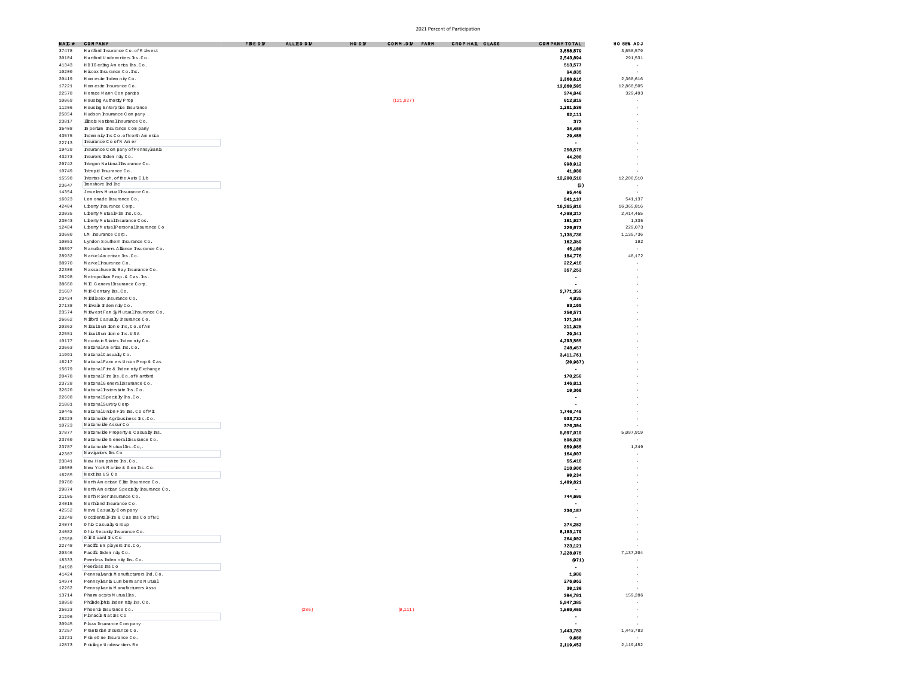| NAC # | COMPANY                                 | <b>FREDN</b> | <b>ALLED DE</b> | HO DW | COMM.DE FARM | CROPHAL GLASS | COMPANY TOTAL            | HO 85% ADJ               |
|-------|-----------------------------------------|--------------|-----------------|-------|--------------|---------------|--------------------------|--------------------------|
| 37478 | Hartford Insurance Co. of Milwest       |              |                 |       |              |               | 3,558,579                | 3,558,579                |
|       |                                         |              |                 |       |              |               |                          |                          |
| 30104 | Hartford Underwriters Ins.Co.           |              |                 |       |              |               | 2,543,894                | 291,531                  |
| 41343 | HDIGerling America Ins.Co.              |              |                 |       |              |               | 513,577                  | ×                        |
| 10200 | H scox hsurance Co. hc.                 |              |                 |       |              |               | 94,835                   |                          |
| 20419 | Homesie Indemnity Co.                   |              |                 |       |              |               | 2,368,616                | 2,368,616                |
| 17221 | Hom este Insurance Co.                  |              |                 |       |              |               | 12,860,505               | 12,860,505               |
| 22578 | Horace Mann Companies                   |              |                 |       |              |               | 374,840                  | 329,493                  |
| 10069 | Housing Authority Prop                  |              |                 |       | (121, 027)   |               | 612,819                  | ×                        |
| 11206 | Housing Enterprise Insurance            |              |                 |       |              |               | 1,261,530                |                          |
| 25054 | Hudson Insurance Company                |              |                 |       |              |               | 62,111                   |                          |
|       |                                         |              |                 |       |              |               |                          |                          |
| 23817 | Ilho is National Insurance Co.          |              |                 |       |              |               | 373                      |                          |
| 35408 | In perim hsurance Company               |              |                 |       |              |               | 34,466                   |                          |
| 43575 | Indem nity Ins Co. of North Am erica    |              |                 |       |              |               | 29,485                   |                          |
| 22713 | hsurance Co of N Am er                  |              |                 |       |              |               |                          |                          |
| 19429 | Insurance C om pany of Pennsylvania     |              |                 |       |              |               | 250,578                  |                          |
| 43273 | hsurors Indem nity Co.                  |              |                 |       |              |               | 44,200                   |                          |
| 29742 | htegon National haurance Co.            |              |                 |       |              |               | 998,912                  |                          |
|       |                                         |              |                 |       |              |               |                          |                          |
| 10749 | htrepid hsumance Co.                    |              |                 |       |              |               | 41,080                   |                          |
| 15598 | Interior Rxch, of the Auto Club         |              |                 |       |              |               | 12,200,510               | 12,200,510               |
| 23647 | lonshore Ind Inc                        |              |                 |       |              |               | $^{\circ}$               | $\overline{\phantom{a}}$ |
| 14354 | Jewelers Mutual Insurance Co.           |              |                 |       |              |               | 95.440                   | ۰.                       |
| 16023 | Lem onade Insurance Co.                 |              |                 |       |              |               | 541,137                  | 541,137                  |
| 42404 | Liberty Insurance Corp.                 |              |                 |       |              |               | 16,365,316               | 16,365,816               |
| 23035 | Liberty MutualFire hs.Co,               |              |                 |       |              |               | 4,208,312                | 2,414,455                |
| 23043 | Liberty Mutual Insurance Cos.           |              |                 |       |              |               | 161,927                  | 1335                     |
|       |                                         |              |                 |       |              |               |                          |                          |
| 12484 | Liberty MutualPersonalInsurance Co      |              |                 |       |              |               | 229.073                  | 229,073                  |
| 33600 | LM hsumance Comp.                       |              |                 |       |              |               | 1,135,736                | 1,135,736                |
| 10051 | Lyndon Southern Insurance Co.           |              |                 |       |              |               | 162,359                  | 192                      |
| 36897 | Manufacturers Allance Insurance Co.     |              |                 |       |              |               | 45,100                   | ÷,                       |
| 28932 | MarkelAm erican Ins.Co.                 |              |                 |       |              |               | 184,776                  | 48,172                   |
| 38970 | Markel hsurance Co.                     |              |                 |       |              |               | 222,418                  |                          |
| 22306 | Massachusetts Bay hsumnce Co.           |              |                 |       |              |               | 357,253                  |                          |
|       |                                         |              |                 |       |              |               |                          |                          |
| 26298 | Metropolian Prop. & Cas. hs.            |              |                 |       |              |               | $\blacksquare$           | $\overline{\phantom{a}}$ |
| 38660 | M C General haurance Corp.              |              |                 |       |              |               | $\overline{\phantom{0}}$ |                          |
| 21687 | Mid-Century Ins.Co.                     |              |                 |       |              |               | 2,771,352                |                          |
| 23434 | M iddesex hsurance Co.                  |              |                 |       |              |               | 4,835                    |                          |
| 27138 | Midvale Indemnity Co.                   |              |                 |       |              |               | 93,165                   |                          |
| 23574 | M ÉwestFam il Mutual haurance Co.       |              |                 |       |              |               | 250,571                  |                          |
|       |                                         |              |                 |       |              |               | 121,348                  |                          |
| 26662 | M fford Casualy Insurance Co.           |              |                 |       |              |               |                          |                          |
| 20362 | MisuiSum iom o hs, Co. of Am            |              |                 |       |              |               | 211,525                  |                          |
| 22551 | M isuiSum iom o hs. USA                 |              |                 |       |              |               | 29,341                   |                          |
| 10177 | Mountain States Indem nity Co.          |              |                 |       |              |               | 4,293,565                |                          |
| 23663 | NationalAm erica Ins.Co.                |              |                 |       |              |               | 248,457                  |                          |
| 11991 | NationalCasualyCo.                      |              |                 |       |              |               | 3,411,761                |                          |
| 16217 | NationalFarm ers Union Prop & Cas       |              |                 |       |              |               | (20, 987)                |                          |
| 15679 | NationalFie & Indem nity Exchange       |              |                 |       |              |               |                          |                          |
|       |                                         |              |                 |       |              |               |                          |                          |
| 20478 | NationalFie hs.Co.ofHartford            |              |                 |       |              |               | 170,250                  |                          |
| 23728 | NationalGeneralBsuranceCo.              |              |                 |       |              |               | 146,811                  |                          |
| 32620 | NationalEsterstate Bs.Co.               |              |                 |       |              |               | 10,368                   |                          |
| 22608 | NationalSpecialy hs.Co.                 |              |                 |       |              |               | $\overline{\phantom{a}}$ |                          |
| 21881 | NationalSurety Com                      |              |                 |       |              |               |                          |                          |
| 19445 | NationalUnion Fire Ins.Co of Pit        |              |                 |       |              |               | 1,746,749                |                          |
| 28223 | Nationwide Agribushess hs.Co.           |              |                 |       |              |               | 933,732                  |                          |
|       | Nationwide AssurCo                      |              |                 |       |              |               |                          |                          |
| 10723 |                                         |              |                 |       |              |               | 376,304                  |                          |
| 37877 | Nationwide Property & Casualy Ins.      |              |                 |       |              |               | 5,097,919                | 5,097,919                |
| 23760 | Nationwide General haurance Co.         |              |                 |       |              |               | 595,920                  | ×                        |
| 23787 | Nationwide Mutualins.Co.                |              |                 |       |              |               | 859,085                  | 1 2 4 9                  |
| 42307 | Navigators hs Co                        |              |                 |       |              |               | 164,007                  | ÷,                       |
| 23841 | New Hampshire Ins.Co.                   |              |                 |       |              |               | 55,410                   |                          |
| 16608 | New York Marke & Gen Rs.Co.             |              |                 |       |              |               | 218,986                  |                          |
| 16285 | Next hs US Co                           |              |                 |       |              |               | 90,234                   |                          |
|       |                                         |              |                 |       |              |               |                          |                          |
| 29700 | North Am erican Elite Insurance Co.     |              |                 |       |              |               | 1,489,621                |                          |
| 29874 | North Am erican Specialty Insurance Co. |              |                 |       |              |               |                          |                          |
| 21105 | North River haurance Co.                |              |                 |       |              |               | 744,609                  |                          |
| 24015 | Northland Insurance Co.                 |              |                 |       |              |               |                          |                          |
| 42552 | Nova Casualy Company                    |              |                 |       |              |               | 236,187                  |                          |
| 23248 | O coilentalFire & Cas hs Co ofNC        |              |                 |       |              |               |                          |                          |
| 24074 | 0 his Casualy G roup                    |              |                 |       |              |               | 274,282                  |                          |
| 24082 | Ohb Security haurance Co.               |              |                 |       |              |               | 8,103,179                |                          |
|       | 0 H G uard hs Co                        |              |                 |       |              |               |                          |                          |
| 17558 |                                         |              |                 |       |              |               | 264,902                  |                          |
| 22748 | Pacific Empbyers hs.Co                  |              |                 |       |              |               | 723,121                  |                          |
| 20346 | Pacific Indem nity Co.                  |              |                 |       |              |               | 7,228,075                | 7,137,204                |
| 18333 | Peerless Indem nity Ins.Co.             |              |                 |       |              |               | (971)                    | $\overline{\phantom{a}}$ |
| 24198 | Peerbss hs Co                           |              |                 |       |              |               | $\overline{\phantom{a}}$ | ÷,                       |
| 41424 | Pennsulvania Manufacturers Ind.Co.      |              |                 |       |              |               | 1,980                    | ×                        |
| 14974 | Pennsylvania Lum berm ans Mutual        |              |                 |       |              |               |                          |                          |
|       |                                         |              |                 |       |              |               | 276,062                  | ×                        |
| 12262 | Pennsylvania Manufacturers Asso         |              |                 |       |              |               | 30,130                   | ÷.                       |
| 13714 | Pham acists Mutual hs.                  |              |                 |       |              |               | 394,781                  | 159,286                  |
| 18058 | Phiadephia Indem nity Ins.Co.           |              |                 |       |              |               | 5,947,385                |                          |
| 25623 | Phoenix haurance Co.                    |              | (286)           |       | (9,111)      |               | 1,569,469                |                          |
| 21296 | Pinnacle Natins Co                      |              |                 |       |              |               | $\overline{\phantom{a}}$ | ×                        |
| 30945 | Phza hsurance Company                   |              |                 |       |              |               | $\overline{\phantom{a}}$ |                          |
|       |                                         |              |                 |       |              |               |                          |                          |
| 37257 | Praetorian hsurance Co.                 |              |                 |       |              |               | 1,443,783                | 1,443,783                |
| 13721 | Prin e0 ne Insurance Co.                |              |                 |       |              |               | 9,680                    | $\sim$                   |
| 12873 | Priviège Underwriters Re                |              |                 |       |              |               | 2,119,452                | 2,119,452                |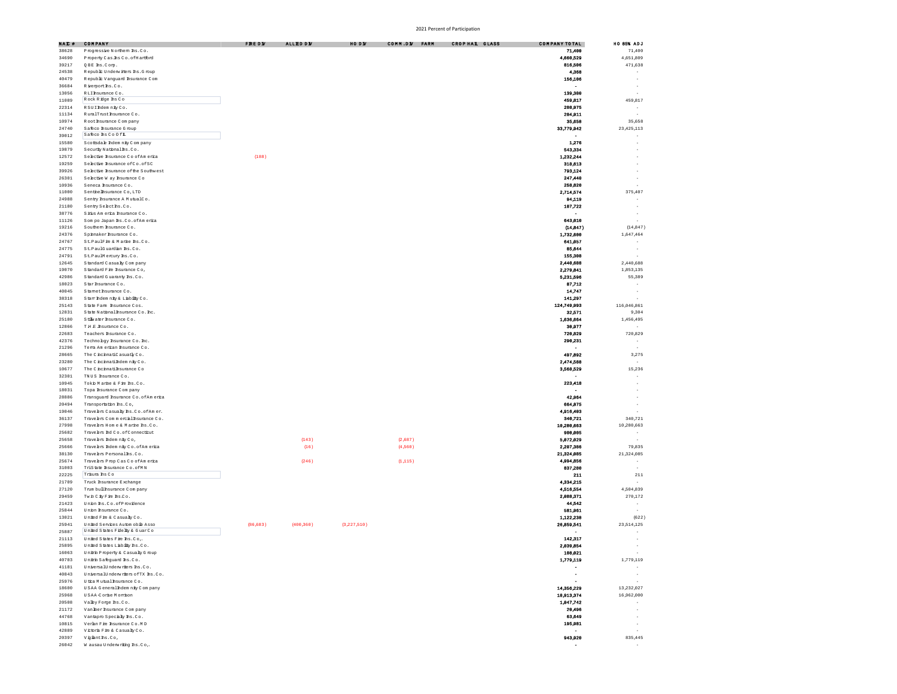| NAI #          | COMPANY                                                      | FREDY    | <b>ALLED DV</b> | HO DW       | COMM.DE FARM | CROP HAL GLASS | COMPANY TOTAL        | <b>HO 85% ADJ</b>        |
|----------------|--------------------------------------------------------------|----------|-----------------|-------------|--------------|----------------|----------------------|--------------------------|
| 38628          | Progressive Northern Ins.Co.                                 |          |                 |             |              |                | 71,400               | 71,400                   |
| 34690          | Property Cas. hs Co. of Hartford                             |          |                 |             |              |                | 4,660,529            | 4,651,809                |
| 39217          | QBE hs. Com.                                                 |          |                 |             |              |                | 816,506              | 471,638                  |
| 24538          | Republic Underwitters Ins. Group                             |          |                 |             |              |                | 4,368                |                          |
| 40479          | Republic Vanguard Insurance Com                              |          |                 |             |              |                | 156,106              | ÷.                       |
| 36684          | Riverport hs.Co.                                             |          |                 |             |              |                |                      | $\overline{\phantom{a}}$ |
| 13056          | RLI hsumace Co.                                              |          |                 |             |              |                | 139,380              |                          |
| 11089          | Rock Ridge hs Co                                             |          |                 |             |              |                | 459,817              | 459,817                  |
| 22314          | RSUIMdem nity Co.                                            |          |                 |             |              |                | 208,975              | $\sim$                   |
| 11134          | RumlTrust hsumnce Co.                                        |          |                 |             |              |                | 204,911              |                          |
| 10974          | Root hsurance Company                                        |          |                 |             |              |                | 35,658               | 35,658                   |
| 24740          | Safeco haurance G roup                                       |          |                 |             |              |                | 33,779,942           | 23,425,113               |
| 39012          | Safeco hs Co Of L                                            |          |                 |             |              |                |                      | $\overline{\phantom{a}}$ |
| 15580          | Scottsdale Indemnity Company                                 |          |                 |             |              |                | 1,276                | ×,                       |
| 19879          | Security National Ins. Co.                                   |          |                 |             |              |                | 543,334              | ÷.                       |
| 12572          | Selective Insurance CoofAmerica                              | (188)    |                 |             |              |                | 1,232,244            |                          |
| 19259          | Selective Insurance of Co. of SC                             |          |                 |             |              |                | 318,613              |                          |
| 39926          | Selective Ibsurance of the Southwest                         |          |                 |             |              |                | 793,124              | ×                        |
| 26301          | Selective W ay Insurance Co                                  |          |                 |             |              |                | 247,440              | ٠                        |
| 10936          | Seneca Insurance Co.                                         |          |                 |             |              |                | 258,820              |                          |
| 11000          | Senthelhsurance Co, LTD                                      |          |                 |             |              |                | 2,714,574            | 375,407                  |
| 24988          | Sentry Insurance A MutualCo.                                 |          |                 |             |              |                | 94,119               |                          |
| 21180          | Senty Selecths.Co.                                           |          |                 |             |              |                | 107,722              |                          |
| 38776          | Sidus Am erica Insurance Co.                                 |          |                 |             |              |                |                      | $\sim$                   |
|                |                                                              |          |                 |             |              |                | 643,010              |                          |
| 11126          | Som po Japan Ins. Co. of Am erica                            |          |                 |             |              |                |                      |                          |
| 19216          | Southern Insurance Co.                                       |          |                 |             |              |                | (14, 847)            | (14, 847)                |
| 24376          | Spinaker hsurance Co.                                        |          |                 |             |              |                | 1,732,600            | 1,647,464                |
| 24767          | St.PaulFire & Marke Rs.Co.                                   |          |                 |             |              |                | 641,057              | $\overline{\phantom{a}}$ |
| 24775          | St.PaulGuardian Rs.Co.                                       |          |                 |             |              |                | 85,644               | $\sim$                   |
| 24791          | St.PaulMercury hs.Co.                                        |          |                 |             |              |                | 155,308              |                          |
| 12645          | Standard Casualy Company                                     |          |                 |             |              |                | 2,440,688            | 2,440,688                |
| 19070          | Standard Fire Insurance Co,                                  |          |                 |             |              |                | 2,279,841            | 1,853,135                |
| 42986          | Standard Guaranty Ins.Co.                                    |          |                 |             |              |                | 5,231,596            | 55,389                   |
| 18023          | Star hsurance Co.                                            |          |                 |             |              |                | 87,712               |                          |
| 40045          | Stamethsumnce Co.                                            |          |                 |             |              |                | 14,747               |                          |
| 38318          | Star Indem niv & Liabiliv Co.                                |          |                 |             |              |                | 141,297              |                          |
| 25143          | State Farm, Insurance Cos.                                   |          |                 |             |              |                | 124,749,993          | 116,046,861              |
| 12831          | State National Insurance Co. Inc.                            |          |                 |             |              |                | 32.571               | 9,304                    |
| 25180          | Stillwater hsumance Co.                                      |          |                 |             |              |                | 1,636,664            | 1,456,495                |
| 12866          | THE haurance Co.                                             |          |                 |             |              |                | 30,977               | $\sim$                   |
| 22683          | Teachers Insurance Co.                                       |          |                 |             |              |                | 720,829              | 720,829                  |
| 42376          | Technology haurance Co. hc.                                  |          |                 |             |              |                | 290,231              | $\sim$                   |
| 21296          | Tema Am erican Insurance Co.                                 |          |                 |             |              |                |                      | $\sim$                   |
| 28665          | The C nonnatiC asuatly Co.                                   |          |                 |             |              |                | 497,892              | 3,275                    |
| 23280          | The C nchnatilldem nity Co.                                  |          |                 |             |              |                | 2,474,588            | $\overline{\phantom{a}}$ |
| 10677          | The C nchnatilhsurance Co                                    |          |                 |             |              |                | 3,568,529            | 15,236                   |
| 32301          | TNUS Insurance Co.                                           |          |                 |             |              |                |                      |                          |
| 10945          | Tokb Marhe & Fire hs.Co.                                     |          |                 |             |              |                | 223,418              |                          |
| 18031          | Topa Insurance Com pany                                      |          |                 |             |              |                |                      | $\sim$                   |
| 28886          | Transquard Insurance Co. of Am erica                         |          |                 |             |              |                | 42,964               | ÷.                       |
| 20494          | Transportation Ins.Co,                                       |          |                 |             |              |                | 664,375              | ÷.                       |
| 19046          | Travelers Casualy hs. Co. of Am er.                          |          |                 |             |              |                | 4,916,403            |                          |
| 36137          | Travelers Commercial Insurance Co.                           |          |                 |             |              |                | 340,721              | 340,721                  |
| 27998          | Travelers Hom e & Marine Ins.Co.                             |          |                 |             |              |                | 10,280,663           | 10,280,663               |
| 25682          | Travelers Ind Co. of Connecticut                             |          |                 |             |              |                | 900,005              | $\overline{\phantom{a}}$ |
| 25658          | Travelers Indem nity Co,                                     |          | (143)           |             | (2,687)      |                | 5,072,029            | $\sim$                   |
| 25666          | Travelers Indem nity Co. of Am erica                         |          | (16)            |             | (4,560)      |                | 2,207,386            | 79,835                   |
| 38130          | Travelers Personal hs.Co.                                    |          |                 |             |              |                | 21,324,085           | 21,324,085               |
| 25674          | Travelers Prop Cas Co of America                             |          | (246)           |             | (1, 115)     |                | 4,994,856            | $\overline{\phantom{a}}$ |
| 31003          | TriState Insurance Co.ofMN                                   |          |                 |             |              |                | 837,280              | ÷,                       |
| 22225          | Trisum hs Co                                                 |          |                 |             |              |                | 211                  | 211                      |
| 21709          | Truck Insurance Exchange                                     |          |                 |             |              |                | 4,334,215            |                          |
| 27120          | Trum bull hsurance Com pany                                  |          |                 |             |              |                | 4,516,554            | 4,504,839                |
| 29459          | TwinCity Fire hs.Co.                                         |          |                 |             |              |                | 2,088,371            | 270,172                  |
| 21423          | Union hs.Co.ofProvidence                                     |          |                 |             |              |                | 44,542               |                          |
| 25844          | Union Insurance Co.                                          |          |                 |             |              |                | 581,961              |                          |
| 13021          | United Fire & Casualy Co.                                    |          |                 |             |              |                | 1,122,238            | (622)                    |
| 25941          | United Services Automobile Asso                              | (86,683) | (400, 360)      | (3,227,510) |              |                | 26,859,541           | 23, 514, 125             |
|                | United States Filelty & GuarCo                               |          |                 |             |              |                |                      |                          |
| 25887          |                                                              |          |                 |             |              |                |                      |                          |
| 21113<br>25895 | United States Fire Ins.Co.<br>United States Liability Ins.Co |          |                 |             |              |                | 142,317<br>2,039,854 |                          |
|                |                                                              |          |                 |             |              |                | 108,021              |                          |
| 16063          | Unitrh Property & Casualty Group                             |          |                 |             |              |                |                      |                          |
| 40703          | Unirh Safequard Ins.Co.                                      |          |                 |             |              |                | 1,779,119            | 1,779,119                |
| 41181          | UniversalUnderwriters Rs.Co.                                 |          |                 |             |              |                |                      | $\sim$                   |
| 40843          | UniversalUnderwriters of TX hs.Co.                           |          |                 |             |              |                | ٠                    | $\sim$                   |
| 25976          | U tica Mutual Insurance Co.                                  |          |                 |             |              |                |                      |                          |
| 18600          | USAA Generalldem nity Company                                |          |                 |             |              |                | 14,356,229           | 13,232,027               |
| 25968          | USAA-Corise Monrison                                         |          |                 |             |              |                | 18 913 374           | 16,962,000               |
| 20508          | Valley Forge Ins.Co.                                         |          |                 |             |              |                | 1.047.742            |                          |
| 21172          | Vanlher haurance C om pany                                   |          |                 |             |              |                | 20,496               | $\sim$                   |
| 44768          | Vantapro Specialy Rs.Co.                                     |          |                 |             |              |                | 63,649               | $\sim$                   |
| 10815          | Verkn Fire Insurance Co.MD                                   |          |                 |             |              |                | 195,981              | $\sim$                   |
| 42889          | Victoria Fire & Casualty Co.                                 |          |                 |             |              |                |                      |                          |
| 20397          | Vigianths.Co,                                                |          |                 |             |              |                | 943,920              | 835,445                  |
| 26042          | W ausau Underwriting Ins.Co.                                 |          |                 |             |              |                |                      |                          |